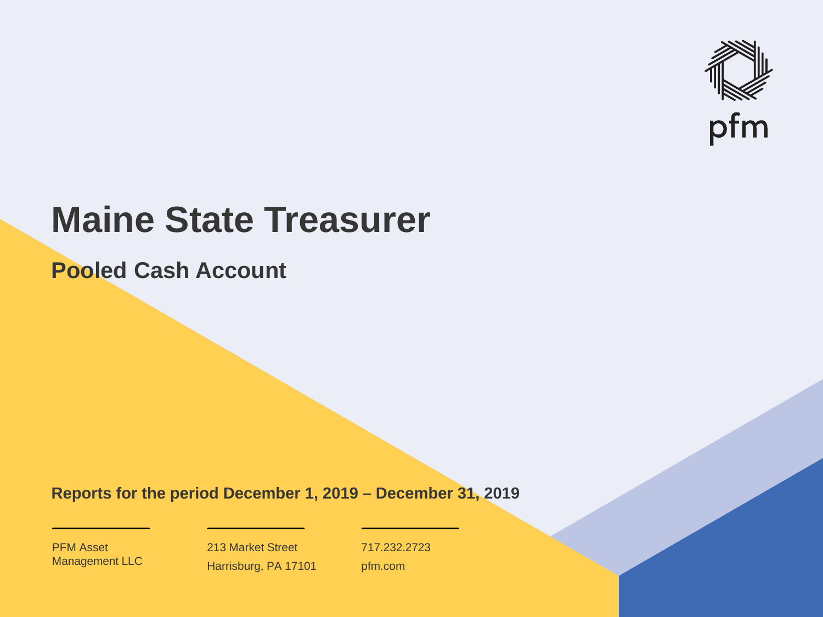

# **Maine State Treasurer**

**Pooled Cash Account**

**Reports for the period December 1, 2019 – December 31, 2019**

PFM Asset Management LLC

213 Market Street Harrisburg, PA 17101 717.232.2723 pfm.com

 $\mathcal{P}_\text{max}$  and  $\mathcal{P}_\text{max}$  is the probability of  $\mathcal{P}_\text{max}$  and  $\mathcal{P}_\text{max}$  and  $\mathcal{P}_\text{max}$  and  $\mathcal{P}_\text{max}$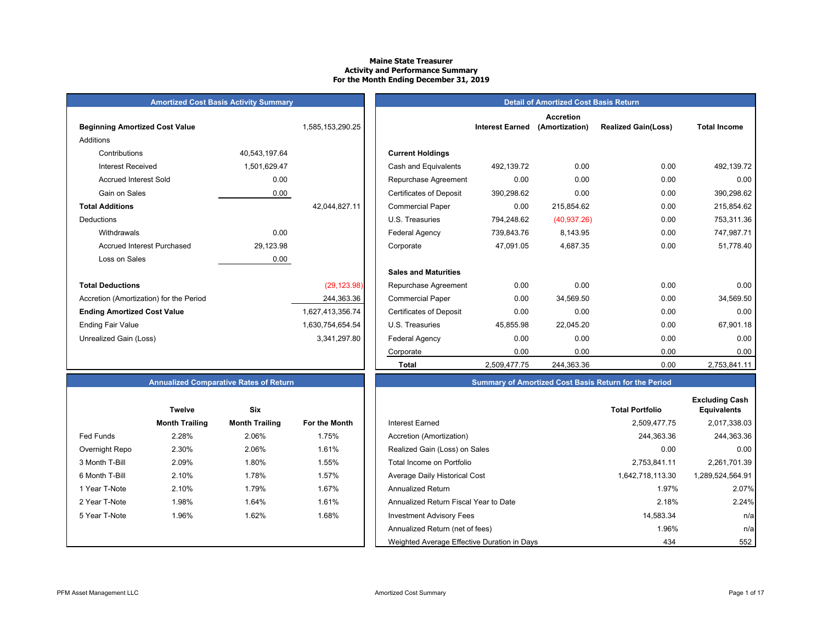# **Maine State Treasurer Activity and Performance Summary For the Month Ending December 31, 2019**

| <b>Amortized Cost Basis Activity Summary</b> |  |  |
|----------------------------------------------|--|--|
|----------------------------------------------|--|--|

| <b>Beginning Amortized Cost Value</b>   |               | 1,585,153,290.25 | <b>Interest Earned</b>                       |
|-----------------------------------------|---------------|------------------|----------------------------------------------|
| <b>Additions</b>                        |               |                  |                                              |
| Contributions                           | 40,543,197.64 |                  | <b>Current Holdings</b>                      |
| <b>Interest Received</b>                | 1,501,629.47  |                  | Cash and Equivalents<br>492,139.72           |
| <b>Accrued Interest Sold</b>            | 0.00          |                  | 0.00<br>Repurchase Agreement                 |
| Gain on Sales                           | 0.00          |                  | <b>Certificates of Deposit</b><br>390,298.62 |
| <b>Total Additions</b>                  |               | 42,044,827.11    | 0.00<br><b>Commercial Paper</b>              |
| Deductions                              |               |                  | 794,248.62<br>U.S. Treasuries                |
| Withdrawals                             | 0.00          |                  | Federal Agency<br>739,843.76                 |
| <b>Accrued Interest Purchased</b>       | 29,123.98     |                  | 47,091.05<br>Corporate                       |
| Loss on Sales                           | 0.00          |                  |                                              |
|                                         |               |                  | <b>Sales and Maturities</b>                  |
| <b>Total Deductions</b>                 |               | (29, 123.98)     | 0.00<br>Repurchase Agreement                 |
| Accretion (Amortization) for the Period |               | 244,363.36       | 0.00<br><b>Commercial Paper</b>              |
| <b>Ending Amortized Cost Value</b>      |               | 1,627,413,356.74 | 0.00<br><b>Certificates of Deposit</b>       |
| <b>Ending Fair Value</b>                |               | 1,630,754,654.54 | U.S. Treasuries<br>45,855.98                 |
| Unrealized Gain (Loss)                  |               | 3,341,297.80     | 0.00<br><b>Federal Agency</b>                |
|                                         |               |                  | $\sim$ $\sim$ $\sim$                         |

|                                         | <b>Amortized Cost Basis Activity Summary</b> |                  |                                |                        | <b>Detail of Amortized Cost Basis Return</b> |                            |                     |
|-----------------------------------------|----------------------------------------------|------------------|--------------------------------|------------------------|----------------------------------------------|----------------------------|---------------------|
| <b>Beginning Amortized Cost Value</b>   |                                              | 1,585,153,290.25 |                                | <b>Interest Earned</b> | <b>Accretion</b><br>(Amortization)           | <b>Realized Gain(Loss)</b> | <b>Total Income</b> |
| Additions                               |                                              |                  |                                |                        |                                              |                            |                     |
| Contributions                           | 40,543,197.64                                |                  | <b>Current Holdings</b>        |                        |                                              |                            |                     |
| <b>Interest Received</b>                | 1,501,629.47                                 |                  | Cash and Equivalents           | 492,139.72             | 0.00                                         | 0.00                       | 492,139.72          |
| <b>Accrued Interest Sold</b>            | 0.00                                         |                  | Repurchase Agreement           | 0.00                   | 0.00                                         | 0.00                       | 0.00                |
| Gain on Sales                           | 0.00                                         |                  | <b>Certificates of Deposit</b> | 390,298.62             | 0.00                                         | 0.00                       | 390,298.62          |
| <b>Total Additions</b>                  |                                              | 42,044,827.11    | <b>Commercial Paper</b>        | 0.00                   | 215,854.62                                   | 0.00                       | 215,854.62          |
| Deductions                              |                                              |                  | U.S. Treasuries                | 794,248.62             | (40, 937.26)                                 | 0.00                       | 753,311.36          |
| Withdrawals                             | 0.00                                         |                  | <b>Federal Agency</b>          | 739,843.76             | 8,143.95                                     | 0.00                       | 747,987.71          |
| <b>Accrued Interest Purchased</b>       | 29,123.98                                    |                  | Corporate                      | 47.091.05              | 4,687.35                                     | 0.00                       | 51,778.40           |
| Loss on Sales                           | 0.00                                         |                  |                                |                        |                                              |                            |                     |
|                                         |                                              |                  | <b>Sales and Maturities</b>    |                        |                                              |                            |                     |
| Total Deductions                        |                                              | (29, 123.98)     | Repurchase Agreement           | 0.00                   | 0.00                                         | 0.00                       | 0.00                |
| Accretion (Amortization) for the Period |                                              | 244,363.36       | <b>Commercial Paper</b>        | 0.00                   | 34,569.50                                    | 0.00                       | 34,569.50           |
| Ending Amortized Cost Value             |                                              | 1,627,413,356.74 | <b>Certificates of Deposit</b> | 0.00                   | 0.00                                         | 0.00                       | 0.00                |
| Ending Fair Value                       |                                              | 1,630,754,654.54 | U.S. Treasuries                | 45,855.98              | 22,045.20                                    | 0.00                       | 67,901.18           |
| Unrealized Gain (Loss)                  |                                              | 3,341,297.80     | Federal Agency                 | 0.00                   | 0.00                                         | 0.00                       | 0.00                |
|                                         |                                              |                  | Corporate                      | 0.00                   | 0.00                                         | 0.00                       | 0.00                |
|                                         |                                              |                  | <b>Total</b>                   | 2,509,477.75           | 244,363.36                                   | 0.00                       | 2,753,841.11        |

|                | <b>Twelve</b>         | Six                   |                      |
|----------------|-----------------------|-----------------------|----------------------|
|                | <b>Month Trailing</b> | <b>Month Trailing</b> | <b>For the Month</b> |
| Fed Funds      | 2.28%                 | 2.06%                 | 1.75%                |
| Overnight Repo | 2.30%                 | 2.06%                 | 1.61%                |
| 3 Month T-Bill | 2.09%                 | 1.80%                 | 1.55%                |
| 6 Month T-Bill | 2.10%                 | 1.78%                 | 1.57%                |
| 1 Year T-Note  | 2.10%                 | 1.79%                 | 1.67%                |
| 2 Year T-Note  | 1.98%                 | 1.64%                 | 1.61%                |
| 5 Year T-Note  | 1.96%                 | 1.62%                 | 1.68%                |
|                |                       |                       |                      |
|                |                       |                       |                      |

# **Annualized Comparative Rates of Return Summary of Amortized Cost Basis Return for the Period**

|                | <b>Twelve</b>         | Six                   |               |                                             | <b>Total Portfolio</b> | <b>Excluding Cash</b><br><b>Equivalents</b> |
|----------------|-----------------------|-----------------------|---------------|---------------------------------------------|------------------------|---------------------------------------------|
|                | <b>Month Trailing</b> | <b>Month Trailing</b> | For the Month | Interest Earned                             | 2,509,477.75           | 2,017,338.03                                |
| Fed Funds      | 2.28%                 | 2.06%                 | 1.75%         | Accretion (Amortization)                    | 244,363.36             | 244,363.36                                  |
| Overnight Repo | 2.30%                 | 2.06%                 | 1.61%         | Realized Gain (Loss) on Sales               | 0.00                   | 0.00                                        |
| 3 Month T-Bill | 2.09%                 | 1.80%                 | 1.55%         | Total Income on Portfolio                   | 2,753,841.11           | 2,261,701.39                                |
| 6 Month T-Bill | 2.10%                 | 1.78%                 | 1.57%         | Average Daily Historical Cost               | 1,642,718,113.30       | 1,289,524,564.91                            |
| 1 Year T-Note  | 2.10%                 | 1.79%                 | 1.67%         | <b>Annualized Return</b>                    | 1.97%                  | 2.07%                                       |
| 2 Year T-Note  | 1.98%                 | 1.64%                 | 1.61%         | Annualized Return Fiscal Year to Date       | 2.18%                  | 2.24%                                       |
| 5 Year T-Note  | 1.96%                 | 1.62%                 | 1.68%         | <b>Investment Advisory Fees</b>             | 14,583.34              | n/al                                        |
|                |                       |                       |               | Annualized Return (net of fees)             | 1.96%                  | n/al                                        |
|                |                       |                       |               | Weighted Average Effective Duration in Days | 434                    | 552                                         |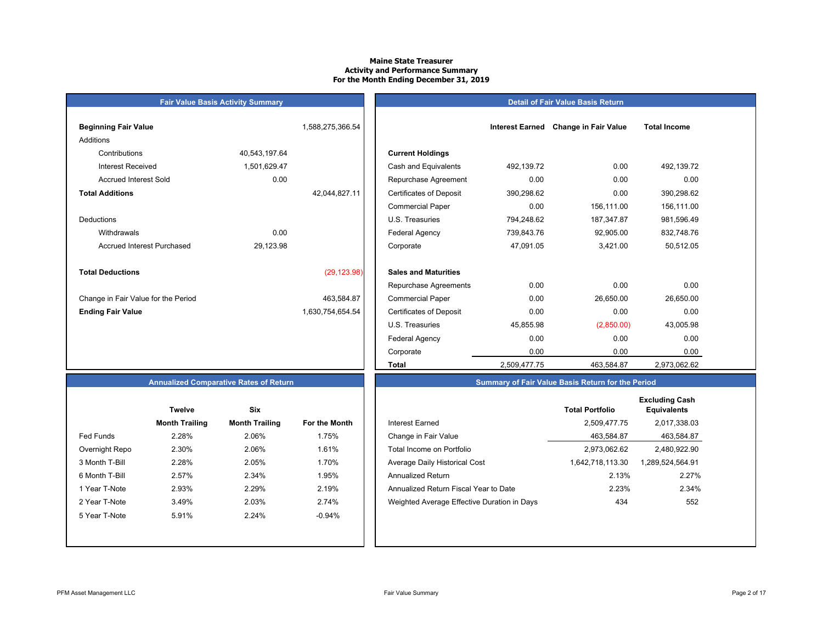# **Maine State TreasurerActivity and Performance Summary For the Month Ending December 31, 2019**

#### **Detail of Fair Value Basis Return**

| <b>Beginning Fair Value</b>         |               | 1,588,275,366.54 |                                |
|-------------------------------------|---------------|------------------|--------------------------------|
| Additions                           |               |                  |                                |
| Contributions                       | 40,543,197.64 |                  | <b>Current Holdings</b>        |
| Interest Received                   | 1,501,629.47  |                  | Cash and Equivalents           |
| Accrued Interest Sold               | 0.00          |                  | Repurchase Agreeme             |
| <b>Total Additions</b>              |               | 42,044,827.11    | <b>Certificates of Deposit</b> |
|                                     |               |                  | <b>Commercial Paper</b>        |
| Deductions                          |               |                  | U.S. Treasuries                |
| Withdrawals                         | 0.00          |                  | <b>Federal Agency</b>          |
| <b>Accrued Interest Purchased</b>   | 29,123.98     |                  | Corporate                      |
|                                     |               |                  |                                |
| <b>Total Deductions</b>             |               | (29, 123.98)     | <b>Sales and Maturities</b>    |
|                                     |               |                  | Repurchase Agreeme             |
| Change in Fair Value for the Period |               | 463,584.87       | <b>Commercial Paper</b>        |
| <b>Ending Fair Value</b>            |               | 1,630,754,654.54 | <b>Certificates of Deposit</b> |
|                                     |               |                  | U.S. Treasuries                |

**Fair Value Basis Activity Summary**

| Beginning Fair Value                |               | 1,588,275,366.54 |                                |              | Interest Earned Change in Fair Value | <b>Total Income</b> |  |
|-------------------------------------|---------------|------------------|--------------------------------|--------------|--------------------------------------|---------------------|--|
| Additions                           |               |                  |                                |              |                                      |                     |  |
| Contributions                       | 40,543,197.64 |                  | <b>Current Holdings</b>        |              |                                      |                     |  |
| <b>Interest Received</b>            | 1,501,629.47  |                  | Cash and Equivalents           | 492,139.72   | 0.00                                 | 492,139.72          |  |
| <b>Accrued Interest Sold</b>        | 0.00          |                  | Repurchase Agreement           | 0.00         | 0.00                                 | 0.00                |  |
|                                     |               |                  |                                |              |                                      |                     |  |
| <b>Total Additions</b>              |               | 42,044,827.11    | <b>Certificates of Deposit</b> | 390,298.62   | 0.00                                 | 390,298.62          |  |
|                                     |               |                  | <b>Commercial Paper</b>        | 0.00         | 156,111.00                           | 156,111.00          |  |
| Deductions                          |               |                  | U.S. Treasuries                | 794,248.62   | 187,347.87                           | 981,596.49          |  |
| Withdrawals                         | 0.00          |                  | <b>Federal Agency</b>          | 739,843.76   | 92,905.00                            | 832,748.76          |  |
| Accrued Interest Purchased          | 29,123.98     |                  | Corporate                      | 47,091.05    | 3,421.00                             | 50,512.05           |  |
| <b>Total Deductions</b>             |               | (29, 123.98)     | <b>Sales and Maturities</b>    |              |                                      |                     |  |
|                                     |               |                  | Repurchase Agreements          | 0.00         | 0.00                                 | 0.00                |  |
| Change in Fair Value for the Period |               | 463,584.87       | <b>Commercial Paper</b>        | 0.00         | 26,650.00                            | 26,650.00           |  |
| <b>Ending Fair Value</b>            |               | 1,630,754,654.54 | <b>Certificates of Deposit</b> | 0.00         | 0.00                                 | 0.00                |  |
|                                     |               |                  | U.S. Treasuries                | 45,855.98    | (2,850.00)                           | 43,005.98           |  |
|                                     |               |                  | <b>Federal Agency</b>          | 0.00         | 0.00                                 | 0.00                |  |
|                                     |               |                  | Corporate                      | 0.00         | 0.00                                 | 0.00                |  |
|                                     |               |                  | Total                          | 2,509,477.75 | 463,584.87                           | 2,973,062.62        |  |

# **Annualized Comparative Rates of Return**

|                | <b>Twelve</b>         | Six                   |                      |
|----------------|-----------------------|-----------------------|----------------------|
|                | <b>Month Trailing</b> | <b>Month Trailing</b> | <b>For the Month</b> |
| Fed Funds      | 2.28%                 | 2.06%                 | 1.75%                |
| Overnight Repo | 2.30%                 | 2.06%                 | 1.61%                |
| 3 Month T-Bill | 2.28%                 | 2.05%                 | 1.70%                |
| 6 Month T-Bill | 2.57%                 | 2.34%                 | 1.95%                |
| 1 Year T-Note  | 2.93%                 | 2.29%                 | 2.19%                |
| 2 Year T-Note  | 3.49%                 | 2.03%                 | 2.74%                |
| 5 Year T-Note  | 5.91%                 | 2.24%                 | $-0.94%$             |
|                |                       |                       |                      |
|                |                       |                       |                      |

|                  | <b>Twelve</b>         | <b>Six</b>            |               |                                             | <b>Total Portfolio</b> | <b>Excluding Cash</b><br><b>Equivalents</b> |
|------------------|-----------------------|-----------------------|---------------|---------------------------------------------|------------------------|---------------------------------------------|
|                  | <b>Month Trailing</b> | <b>Month Trailing</b> | For the Month | Interest Earned                             | 2,509,477.75           | 2,017,338.03                                |
| <b>Fed Funds</b> | 2.28%                 | 2.06%                 | 1.75%         | Change in Fair Value                        | 463,584.87             | 463,584.87                                  |
| Overnight Repo   | 2.30%                 | 2.06%                 | 1.61%         | Total Income on Portfolio                   | 2,973,062.62           | 2,480,922.90                                |
| 3 Month T-Bill   | 2.28%                 | 2.05%                 | 1.70%         | Average Daily Historical Cost               | 1,642,718,113.30       | 1,289,524,564.91                            |
| 6 Month T-Bill   | 2.57%                 | 2.34%                 | 1.95%         | Annualized Return                           | 2.13%                  | 2.27%                                       |
| 1 Year T-Note    | 2.93%                 | 2.29%                 | 2.19%         | Annualized Return Fiscal Year to Date       | 2.23%                  | 2.34%                                       |
| 2 Year T-Note    | 3.49%                 | 2.03%                 | 2.74%         | Weighted Average Effective Duration in Days | 434                    | 552                                         |
| 5 Year T-Note    | 5.91%                 | 2.24%                 | $-0.94\%$     |                                             |                        |                                             |
|                  |                       |                       |               |                                             |                        |                                             |

**Summary of Fair Value Basis Return for the Period**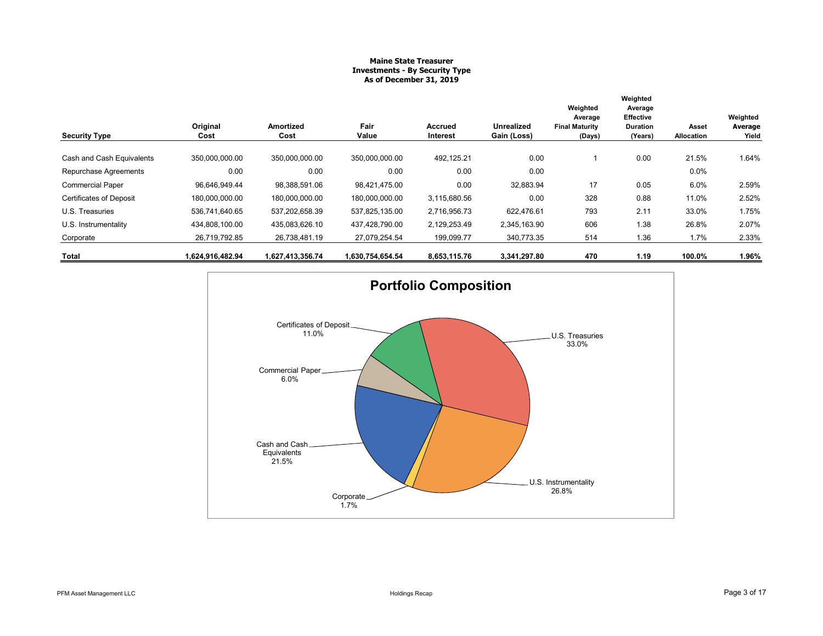# **Maine State Treasurer Investments - By Security Type As of December 31, 2019**

|                                |                  |                   |                  |                            |                                  | Weighted                                   | Weighted<br>Average                     |                     |                              |
|--------------------------------|------------------|-------------------|------------------|----------------------------|----------------------------------|--------------------------------------------|-----------------------------------------|---------------------|------------------------------|
| <b>Security Type</b>           | Original<br>Cost | Amortized<br>Cost | Fair<br>Value    | <b>Accrued</b><br>Interest | <b>Unrealized</b><br>Gain (Loss) | Average<br><b>Final Maturity</b><br>(Days) | Effective<br><b>Duration</b><br>(Years) | Asset<br>Allocation | Weighted<br>Average<br>Yield |
| Cash and Cash Equivalents      | 350,000,000.00   | 350,000,000.00    | 350,000,000.00   | 492,125.21                 | 0.00                             |                                            | 0.00                                    | 21.5%               | 1.64%                        |
| Repurchase Agreements          | 0.00             | 0.00              | 0.00             | 0.00                       | 0.00                             |                                            |                                         | $0.0\%$             |                              |
| <b>Commercial Paper</b>        | 96,646,949.44    | 98,388,591.06     | 98,421,475.00    | 0.00                       | 32,883.94                        | 17                                         | 0.05                                    | 6.0%                | 2.59%                        |
| <b>Certificates of Deposit</b> | 180,000,000.00   | 180,000,000.00    | 180,000,000.00   | 3,115,680.56               | 0.00                             | 328                                        | 0.88                                    | 11.0%               | 2.52%                        |
| U.S. Treasuries                | 536,741,640.65   | 537,202,658.39    | 537,825,135.00   | 2,716,956.73               | 622.476.61                       | 793                                        | 2.11                                    | 33.0%               | 1.75%                        |
| U.S. Instrumentality           | 434,808,100.00   | 435,083,626.10    | 437,428,790.00   | 2,129,253.49               | 2,345,163.90                     | 606                                        | 1.38                                    | 26.8%               | 2.07%                        |
| Corporate                      | 26,719,792.85    | 26,738,481.19     | 27,079,254.54    | 199,099.77                 | 340,773.35                       | 514                                        | 1.36                                    | 1.7%                | 2.33%                        |
| Total                          | 1,624,916,482.94 | 1,627,413,356.74  | 1,630,754,654.54 | 8,653,115.76               | 3,341,297.80                     | 470                                        | 1.19                                    | 100.0%              | 1.96%                        |

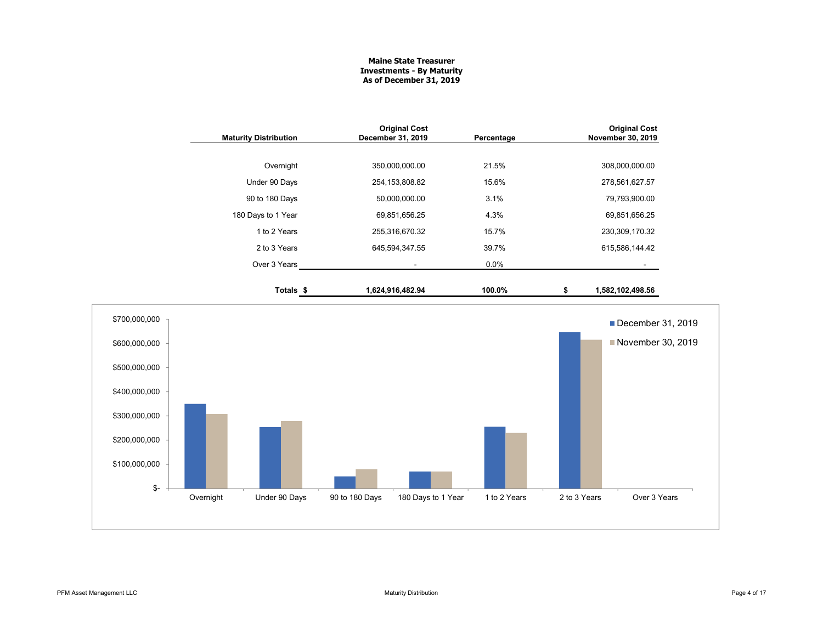# **Maine State Treasurer Investments - By Maturity As of December 31, 2019**

| <b>Maturity Distribution</b> | <b>Original Cost</b><br>December 31, 2019 | Percentage |   | <b>Original Cost</b><br>November 30, 2019 |
|------------------------------|-------------------------------------------|------------|---|-------------------------------------------|
|                              |                                           |            |   |                                           |
| Overnight                    | 350,000,000.00                            | 21.5%      |   | 308,000,000.00                            |
| Under 90 Days                | 254, 153, 808.82                          | 15.6%      |   | 278,561,627.57                            |
| 90 to 180 Days               | 50,000,000.00                             | 3.1%       |   | 79,793,900.00                             |
| 180 Days to 1 Year           | 69,851,656.25                             | 4.3%       |   | 69,851,656.25                             |
| 1 to 2 Years                 | 255,316,670.32                            | 15.7%      |   | 230,309,170.32                            |
| 2 to 3 Years                 | 645,594,347.55                            | 39.7%      |   | 615,586,144.42                            |
| Over 3 Years                 |                                           | $0.0\%$    |   |                                           |
| Totals \$                    | 1,624,916,482.94                          | 100.0%     | S | 1,582,102,498.56                          |

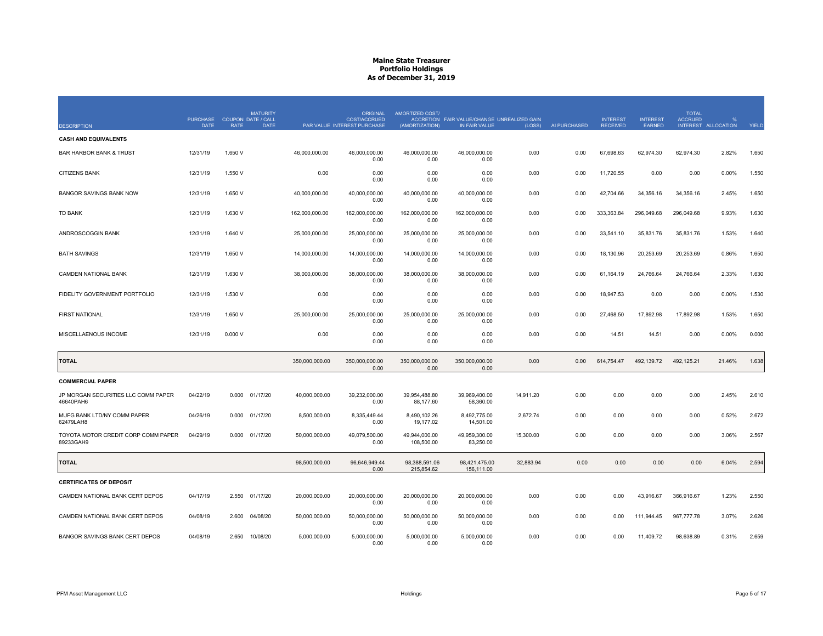|                                                  | PURCHASE COUPON DATE / CALL |             | <b>MATURITY</b> |                | <b>ORIGINAL</b><br><b>COST/ACCRUED</b> | AMORTIZED COST/             | ACCRETION FAIR VALUE/CHANGE UNREALIZED GAIN |           |              | <b>INTEREST</b> | <b>INTEREST</b> | <b>TOTAL</b><br><b>ACCRUED</b> |                     |       |
|--------------------------------------------------|-----------------------------|-------------|-----------------|----------------|----------------------------------------|-----------------------------|---------------------------------------------|-----------|--------------|-----------------|-----------------|--------------------------------|---------------------|-------|
| <b>DESCRIPTION</b>                               | <b>DATE</b>                 | <b>RATE</b> | <b>DATE</b>     |                | PAR VALUE INTEREST PURCHASE            | (AMORTIZATION)              | IN FAIR VALUE                               | (LOSS)    | AI PURCHASED | <b>RECEIVED</b> | <b>EARNED</b>   |                                | INTEREST ALLOCATION | YIELD |
| <b>CASH AND EQUIVALENTS</b>                      |                             |             |                 |                |                                        |                             |                                             |           |              |                 |                 |                                |                     |       |
| <b>BAR HARBOR BANK &amp; TRUST</b>               | 12/31/19                    | 1.650 V     |                 | 46,000,000.00  | 46.000.000.00<br>0.00                  | 46.000.000.00<br>0.00       | 46.000.000.00<br>0.00                       | 0.00      | 0.00         | 67.698.63       | 62.974.30       | 62,974.30                      | 2.82%               | 1.650 |
| <b>CITIZENS BANK</b>                             | 12/31/19                    | 1.550 V     |                 | 0.00           | 0.00<br>0.00                           | 0.00<br>0.00                | 0.00<br>0.00                                | 0.00      | 0.00         | 11,720.55       | 0.00            | 0.00                           | 0.00%               | 1.550 |
| <b>BANGOR SAVINGS BANK NOW</b>                   | 12/31/19                    | 1.650 V     |                 | 40,000,000.00  | 40,000,000.00<br>0.00                  | 40,000,000.00<br>0.00       | 40,000,000.00<br>0.00                       | 0.00      | 0.00         | 42,704.66       | 34,356.16       | 34,356.16                      | 2.45%               | 1.650 |
| <b>TD BANK</b>                                   | 12/31/19                    | 1.630 V     |                 | 162,000,000.00 | 162,000,000.00<br>0.00                 | 162,000,000.00<br>0.00      | 162,000,000.00<br>0.00                      | 0.00      | 0.00         | 333,363.84      | 296,049.68      | 296,049.68                     | 9.93%               | 1.630 |
| ANDROSCOGGIN BANK                                | 12/31/19                    | 1.640 V     |                 | 25,000,000.00  | 25,000,000.00<br>0.00                  | 25,000,000.00<br>0.00       | 25,000,000.00<br>0.00                       | 0.00      | 0.00         | 33,541.10       | 35,831.76       | 35,831.76                      | 1.53%               | 1.640 |
| <b>BATH SAVINGS</b>                              | 12/31/19                    | 1.650 V     |                 | 14,000,000.00  | 14,000,000.00<br>0.00                  | 14,000,000.00<br>0.00       | 14,000,000.00<br>0.00                       | 0.00      | 0.00         | 18,130.96       | 20,253.69       | 20,253.69                      | 0.86%               | 1.650 |
| <b>CAMDEN NATIONAL BANK</b>                      | 12/31/19                    | 1.630 V     |                 | 38,000,000.00  | 38.000.000.00<br>0.00                  | 38.000.000.00<br>0.00       | 38,000,000.00<br>0.00                       | 0.00      | 0.00         | 61.164.19       | 24.766.64       | 24.766.64                      | 2.33%               | 1.630 |
| FIDELITY GOVERNMENT PORTFOLIO                    | 12/31/19                    | 1.530 V     |                 | 0.00           | 0.00<br>0.00                           | 0.00<br>0.00                | 0.00<br>0.00                                | 0.00      | 0.00         | 18,947.53       | 0.00            | 0.00                           | 0.00%               | 1.530 |
| <b>FIRST NATIONAL</b>                            | 12/31/19                    | 1.650 V     |                 | 25,000,000.00  | 25,000,000.00<br>0.00                  | 25,000,000.00<br>0.00       | 25,000,000.00<br>0.00                       | 0.00      | 0.00         | 27,468.50       | 17,892.98       | 17,892.98                      | 1.53%               | 1.650 |
| MISCELLAENOUS INCOME                             | 12/31/19                    | 0.000V      |                 | 0.00           | 0.00<br>0.00                           | 0.00<br>0.00                | 0.00<br>0.00                                | 0.00      | 0.00         | 14.51           | 14.51           | 0.00                           | 0.00%               | 0.000 |
| <b>TOTAL</b>                                     |                             |             |                 | 350,000,000.00 | 350,000,000.00<br>0.00                 | 350,000,000.00<br>0.00      | 350,000,000.00<br>0.00                      | 0.00      | 0.00         | 614,754.47      | 492,139.72      | 492,125.21                     | 21.46%              | 1.638 |
| <b>COMMERCIAL PAPER</b>                          |                             |             |                 |                |                                        |                             |                                             |           |              |                 |                 |                                |                     |       |
| JP MORGAN SECURITIES LLC COMM PAPER<br>46640PAH6 | 04/22/19                    | 0.000       | 01/17/20        | 40.000.000.00  | 39.232.000.00<br>0.00                  | 39.954.488.80<br>88,177.60  | 39.969.400.00<br>58,360.00                  | 14.911.20 | 0.00         | 0.00            | 0.00            | 0.00                           | 2.45%               | 2.610 |
| MUFG BANK LTD/NY COMM PAPER<br>62479LAH8         | 04/26/19                    |             | 0.000 01/17/20  | 8,500,000.00   | 8,335,449.44<br>0.00                   | 8,490,102.26<br>19,177.02   | 8,492,775.00<br>14,501.00                   | 2,672.74  | 0.00         | 0.00            | 0.00            | 0.00                           | 0.52%               | 2.672 |
| TOYOTA MOTOR CREDIT CORP COMM PAPER<br>89233GAH9 | 04/29/19                    |             | 0.000 01/17/20  | 50,000,000.00  | 49,079,500.00<br>0.00                  | 49.944.000.00<br>108,500.00 | 49.959.300.00<br>83,250.00                  | 15,300.00 | 0.00         | 0.00            | 0.00            | 0.00                           | 3.06%               | 2.567 |
| <b>TOTAL</b>                                     |                             |             |                 | 98,500,000.00  | 96.646.949.44<br>0.00                  | 98.388.591.06<br>215,854.62 | 98.421.475.00<br>156,111.00                 | 32.883.94 | 0.00         | 0.00            | 0.00            | 0.00                           | 6.04%               | 2.594 |
| <b>CERTIFICATES OF DEPOSIT</b>                   |                             |             |                 |                |                                        |                             |                                             |           |              |                 |                 |                                |                     |       |
| CAMDEN NATIONAL BANK CERT DEPOS                  | 04/17/19                    |             | 2.550 01/17/20  | 20,000,000.00  | 20,000,000.00<br>0.00                  | 20,000,000.00<br>0.00       | 20,000,000.00<br>0.00                       | 0.00      | 0.00         | 0.00            | 43,916.67       | 366,916.67                     | 1.23%               | 2.550 |
| CAMDEN NATIONAL BANK CERT DEPOS                  | 04/08/19                    | 2.600       | 04/08/20        | 50.000.000.00  | 50.000.000.00<br>0.00                  | 50.000.000.00<br>0.00       | 50.000.000.00<br>0.00                       | 0.00      | 0.00         | 0.00            | 111.944.45      | 967.777.78                     | 3.07%               | 2.626 |
| BANGOR SAVINGS BANK CERT DEPOS                   | 04/08/19                    | 2.650       | 10/08/20        | 5,000,000.00   | 5,000,000.00<br>0.00                   | 5,000,000.00<br>0.00        | 5,000,000.00<br>0.00                        | 0.00      | 0.00         | 0.00            | 11,409.72       | 98,638.89                      | 0.31%               | 2.659 |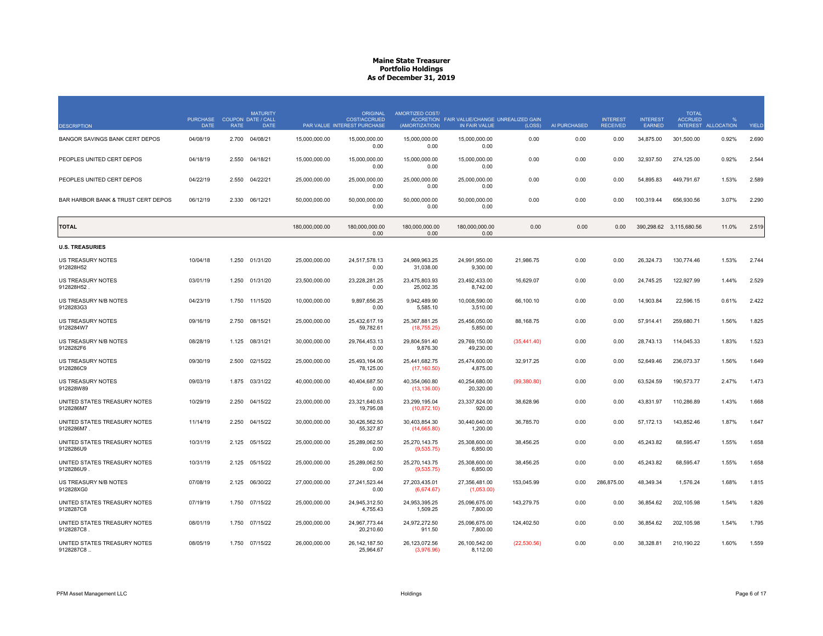|                                            | <b>PURCHASE</b> |             | <b>MATURITY</b><br><b>COUPON DATE / CALL</b> |                | <b>ORIGINAL</b><br><b>COST/ACCRUED</b> | <b>AMORTIZED COST/</b>         | ACCRETION FAIR VALUE/CHANGE UNREALIZED GAIN |              |              | <b>INTEREST</b> | <b>INTEREST</b> | <b>TOTAL</b><br><b>ACCRUED</b> |                   |       |
|--------------------------------------------|-----------------|-------------|----------------------------------------------|----------------|----------------------------------------|--------------------------------|---------------------------------------------|--------------|--------------|-----------------|-----------------|--------------------------------|-------------------|-------|
| <b>DESCRIPTION</b>                         | <b>DATE</b>     | <b>RATE</b> | <b>DATE</b>                                  |                | PAR VALUE INTEREST PURCHASE            | (AMORTIZATION)                 | IN FAIR VALUE                               | (LOSS)       | AI PURCHASED | <b>RECEIVED</b> | <b>EARNED</b>   | <b>INTEREST</b>                | <b>ALLOCATION</b> | YIELD |
| BANGOR SAVINGS BANK CERT DEPOS             | 04/08/19        | 2.700       | 04/08/21                                     | 15,000,000.00  | 15,000,000.00<br>0.00                  | 15,000,000.00<br>0.00          | 15,000,000.00<br>0.00                       | 0.00         | 0.00         | 0.00            | 34,875.00       | 301,500.00                     | 0.92%             | 2.690 |
| PEOPLES UNITED CERT DEPOS                  | 04/18/19        | 2.550       | 04/18/21                                     | 15,000,000.00  | 15,000,000.00<br>0.00                  | 15,000,000.00<br>0.00          | 15,000,000.00<br>0.00                       | 0.00         | 0.00         | 0.00            | 32,937.50       | 274,125.00                     | 0.92%             | 2.544 |
| PEOPLES UNITED CERT DEPOS                  | 04/22/19        | 2.550       | 04/22/21                                     | 25,000,000.00  | 25,000,000.00<br>0.00                  | 25,000,000.00<br>0.00          | 25,000,000.00<br>0.00                       | 0.00         | 0.00         | 0.00            | 54,895.83       | 449,791.67                     | 1.53%             | 2.589 |
| BAR HARBOR BANK & TRUST CERT DEPOS         | 06/12/19        | 2.330       | 06/12/21                                     | 50,000,000.00  | 50,000,000.00<br>0.00                  | 50,000,000.00<br>0.00          | 50,000,000.00<br>0.00                       | 0.00         | 0.00         | 0.00            | 100,319.44      | 656,930.56                     | 3.07%             | 2.290 |
| <b>TOTAL</b>                               |                 |             |                                              | 180.000.000.00 | 180.000.000.00<br>0.00                 | 180.000.000.00<br>0.00         | 180.000.000.00<br>0.00                      | 0.00         | 0.00         | 0.00            |                 | 390.298.62 3.115.680.56        | 11.0%             | 2.519 |
| <b>U.S. TREASURIES</b>                     |                 |             |                                              |                |                                        |                                |                                             |              |              |                 |                 |                                |                   |       |
| <b>US TREASURY NOTES</b><br>912828H52      | 10/04/18        | 1.250       | 01/31/20                                     | 25.000.000.00  | 24.517.578.13<br>0.00                  | 24.969.963.25<br>31,038.00     | 24.991.950.00<br>9,300.00                   | 21.986.75    | 0.00         | 0.00            | 26.324.73       | 130.774.46                     | 1.53%             | 2.744 |
| US TREASURY NOTES<br>912828H52             | 03/01/19        | 1.250       | 01/31/20                                     | 23,500,000.00  | 23,228,281.25<br>0.00                  | 23,475,803.93<br>25,002.35     | 23,492,433.00<br>8,742.00                   | 16,629.07    | 0.00         | 0.00            | 24,745.25       | 122,927.99                     | 1.44%             | 2.529 |
| US TREASURY N/B NOTES<br>9128283G3         | 04/23/19        |             | 1.750 11/15/20                               | 10,000,000.00  | 9,897,656.25<br>0.00                   | 9,942,489.90<br>5,585.10       | 10,008,590.00<br>3,510.00                   | 66,100.10    | 0.00         | 0.00            | 14,903.84       | 22,596.15                      | 0.61%             | 2.422 |
| <b>US TREASURY NOTES</b><br>9128284W7      | 09/16/19        | 2.750       | 08/15/21                                     | 25,000,000.00  | 25,432,617.19<br>59,782.61             | 25,367,881.25<br>(18,755.25)   | 25,456,050.00<br>5,850.00                   | 88,168.75    | 0.00         | 0.00            | 57,914.41       | 259,680.71                     | 1.56%             | 1.825 |
| US TREASURY N/B NOTES<br>9128282F6         | 08/28/19        | 1.125       | 08/31/21                                     | 30,000,000.00  | 29.764.453.13<br>0.00                  | 29.804.591.40<br>9,876.30      | 29.769.150.00<br>49,230.00                  | (35, 441.40) | 0.00         | 0.00            | 28.743.13       | 114,045.33                     | 1.83%             | 1.523 |
| <b>US TREASURY NOTES</b><br>9128286C9      | 09/30/19        |             | 2.500 02/15/22                               | 25,000,000.00  | 25,493,164.06<br>78,125.00             | 25,441,682.75<br>(17, 160.50)  | 25,474,600.00<br>4,875.00                   | 32,917.25    | 0.00         | 0.00            | 52,649.46       | 236,073.37                     | 1.56%             | 1.649 |
| US TREASURY NOTES<br>912828W89             | 09/03/19        | 1.875       | 03/31/22                                     | 40,000,000.00  | 40,404,687.50<br>0.00                  | 40,354,060.80<br>(13, 136.00)  | 40,254,680.00<br>20,320.00                  | (99, 380.80) | 0.00         | 0.00            | 63,524.59       | 190,573.77                     | 2.47%             | 1.473 |
| UNITED STATES TREASURY NOTES<br>9128286M7  | 10/29/19        | 2.250       | 04/15/22                                     | 23,000,000.00  | 23,321,640.63<br>19.795.08             | 23,299,195.04<br>(10, 872, 10) | 23,337,824.00<br>920.00                     | 38,628.96    | 0.00         | 0.00            | 43,831.97       | 110,286.89                     | 1.43%             | 1.668 |
| UNITED STATES TREASURY NOTES<br>9128286M7. | 11/14/19        | 2.250       | 04/15/22                                     | 30,000,000.00  | 30,426,562.50<br>55,327.87             | 30,403,854.30<br>(14,665.80)   | 30,440,640.00<br>1,200.00                   | 36,785.70    | 0.00         | 0.00            | 57, 172. 13     | 143,852.46                     | 1.87%             | 1.647 |
| UNITED STATES TREASURY NOTES<br>9128286U9  | 10/31/19        |             | 2.125 05/15/22                               | 25,000,000.00  | 25.289.062.50<br>0.00                  | 25.270.143.75<br>(9,535.75)    | 25.308.600.00<br>6,850.00                   | 38,456.25    | 0.00         | 0.00            | 45,243.82       | 68,595.47                      | 1.55%             | 1.658 |
| UNITED STATES TREASURY NOTES<br>9128286U9  | 10/31/19        | 2.125       | 05/15/22                                     | 25,000,000.00  | 25,289,062.50<br>0.00                  | 25,270,143.75<br>(9,535.75)    | 25,308,600.00<br>6,850.00                   | 38,456.25    | 0.00         | 0.00            | 45,243.82       | 68,595.47                      | 1.55%             | 1.658 |
| US TREASURY N/B NOTES<br>912828XG0         | 07/08/19        | 2.125       | 06/30/22                                     | 27,000,000.00  | 27,241,523.44<br>0.00                  | 27,203,435.01<br>(6,674.67)    | 27,356,481.00<br>(1,053.00)                 | 153,045.99   | 0.00         | 286,875.00      | 48,349.34       | 1,576.24                       | 1.68%             | 1.815 |
| UNITED STATES TREASURY NOTES<br>9128287C8  | 07/19/19        | 1.750       | 07/15/22                                     | 25,000,000.00  | 24,945,312.50<br>4,755.43              | 24,953,395.25<br>1,509.25      | 25,096,675.00<br>7,800.00                   | 143,279.75   | 0.00         | 0.00            | 36,854.62       | 202,105.98                     | 1.54%             | 1.826 |
| UNITED STATES TREASURY NOTES<br>9128287C8  | 08/01/19        | 1.750       | 07/15/22                                     | 25,000,000,00  | 24.967.773.44<br>20,210.60             | 24.972.272.50<br>911.50        | 25.096.675.00<br>7,800.00                   | 124.402.50   | 0.00         | 0.00            | 36.854.62       | 202,105.98                     | 1.54%             | 1.795 |
| UNITED STATES TREASURY NOTES<br>9128287C8. | 08/05/19        |             | 1.750 07/15/22                               | 26,000,000.00  | 26, 142, 187.50<br>25,964.67           | 26,123,072.56<br>(3,976.96)    | 26,100,542.00<br>8,112.00                   | (22, 530.56) | 0.00         | 0.00            | 38,328.81       | 210,190.22                     | 1.60%             | 1.559 |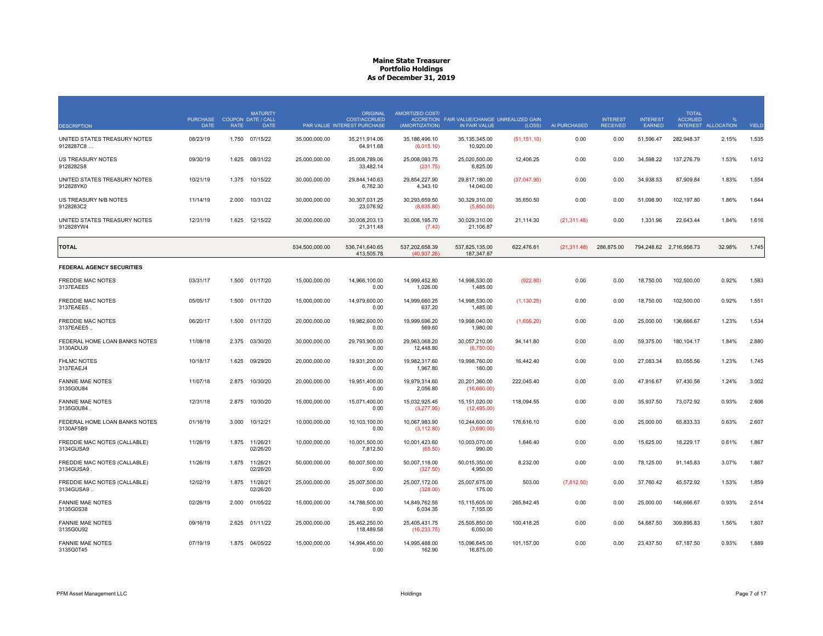| <b>DESCRIPTION</b>                         | PURCHASE COUPON DATE / CALL<br><b>DATE</b> | <b>RATE</b> | <b>MATURITY</b><br><b>DATE</b> |                | <b>ORIGINAL</b><br><b>COST/ACCRUED</b><br>PAR VALUE INTEREST PURCHASE | AMORTIZED COST/<br>(AMORTIZATION) | ACCRETION FAIR VALUE/CHANGE UNREALIZED GAIN<br>IN FAIR VALUE | (LOSS)       | AI PURCHASED | <b>INTEREST</b><br><b>RECEIVED</b> | <b>INTEREST</b><br>EARNED | <b>TOTAL</b><br><b>ACCRUED</b><br><b>INTEREST</b> | <b>ALLOCATION</b> | YIELD |
|--------------------------------------------|--------------------------------------------|-------------|--------------------------------|----------------|-----------------------------------------------------------------------|-----------------------------------|--------------------------------------------------------------|--------------|--------------|------------------------------------|---------------------------|---------------------------------------------------|-------------------|-------|
| UNITED STATES TREASURY NOTES<br>9128287C8  | 08/23/19                                   | 1.750       | 07/15/22                       | 35,000,000.00  | 35.211.914.06<br>64,911.68                                            | 35.186.496.10<br>(6,015.10)       | 35.135.345.00<br>10,920.00                                   | (51, 151.10) | 0.00         | 0.00                               | 51,596.47                 | 282.948.37                                        | 2.15%             | 1.535 |
| US TREASURY NOTES<br>9128282S8             | 09/30/19                                   |             | 1.625 08/31/22                 | 25,000,000.00  | 25,008,789.06<br>33,482.14                                            | 25,008,093.75<br>(231.75)         | 25,020,500.00<br>6,825.00                                    | 12,406.25    | 0.00         | 0.00                               | 34,598.22                 | 137,276.79                                        | 1.53%             | 1.612 |
| UNITED STATES TREASURY NOTES<br>912828YK0  | 10/21/19                                   | 1.375       | 10/15/22                       | 30,000,000.00  | 29,844,140.63<br>6,762.30                                             | 29,854,227.90<br>4,343.10         | 29,817,180.00<br>14,040.00                                   | (37,047.90)  | 0.00         | 0.00                               | 34,938.53                 | 87,909.84                                         | 1.83%             | 1.554 |
| US TREASURY N/B NOTES<br>9128283C2         | 11/14/19                                   | 2.000       | 10/31/22                       | 30,000,000.00  | 30,307,031.25<br>23,076.92                                            | 30,293,659.50<br>(8,635.80)       | 30,329,310.00<br>(5,850.00)                                  | 35,650.50    | 0.00         | 0.00                               | 51,098.90                 | 102,197.80                                        | 1.86%             | 1.644 |
| UNITED STATES TREASURY NOTES<br>912828YW4  | 12/31/19                                   | 1.625       | 12/15/22                       | 30,000,000.00  | 30,008,203.13<br>21,311.48                                            | 30,008,195.70<br>(7.43)           | 30,029,310.00<br>21,106.87                                   | 21,114.30    | (21, 311.48) | 0.00                               | 1,331.96                  | 22,643.44                                         | 1.84%             | 1.616 |
| TOTAL                                      |                                            |             |                                | 534,500,000.00 | 536,741,640.65<br>413.505.78                                          | 537,202,658.39<br>(40.937.26)     | 537.825.135.00<br>187.347.87                                 | 622,476.61   | (21, 311.48) | 286,875.00                         |                           | 794,248.62 2,716,956.73                           | 32.98%            | 1.745 |
| <b>FEDERAL AGENCY SECURITIES</b>           |                                            |             |                                |                |                                                                       |                                   |                                                              |              |              |                                    |                           |                                                   |                   |       |
| <b>FREDDIE MAC NOTES</b><br>3137EAEE5      | 03/31/17                                   | 1.500       | 01/17/20                       | 15,000,000.00  | 14,966,100.00<br>0.00                                                 | 14,999,452.80<br>1,026.00         | 14,998,530.00<br>1,485.00                                    | (922.80)     | 0.00         | 0.00                               | 18,750.00                 | 102,500.00                                        | 0.92%             | 1.583 |
| <b>FREDDIE MAC NOTES</b><br>3137EAEE5      | 05/05/17                                   | 1.500       | 01/17/20                       | 15,000,000.00  | 14,979,600.00<br>0.00                                                 | 14,999,660.25<br>637.20           | 14,998,530.00<br>1,485.00                                    | (1, 130.25)  | 0.00         | 0.00                               | 18,750.00                 | 102,500.00                                        | 0.92%             | 1.551 |
| FREDDIE MAC NOTES<br>3137EAEE5.            | 06/20/17                                   | 1.500       | 01/17/20                       | 20,000,000.00  | 19,982,600.00<br>0.00                                                 | 19,999,696.20<br>569.60           | 19,998,040.00<br>1,980.00                                    | (1,656.20)   | 0.00         | 0.00                               | 25,000.00                 | 136,666.67                                        | 1.23%             | 1.534 |
| FEDERAL HOME LOAN BANKS NOTES<br>3130ADUJ9 | 11/08/18                                   | 2.375       | 03/30/20                       | 30,000,000.00  | 29.793.900.00<br>0.00                                                 | 29,963,068.20<br>12,448.80        | 30,057,210.00<br>(6,750.00)                                  | 94,141.80    | 0.00         | 0.00                               | 59,375.00                 | 180,104.17                                        | 1.84%             | 2.880 |
| <b>FHLMC NOTES</b><br>3137EAEJ4            | 10/18/17                                   | 1.625       | 09/29/20                       | 20,000,000.00  | 19,931,200.00<br>0.00                                                 | 19,982,317.60<br>1,967.80         | 19,998,760.00<br>160.00                                      | 16,442.40    | 0.00         | 0.00                               | 27,083.34                 | 83,055.56                                         | 1.23%             | 1.745 |
| <b>FANNIE MAE NOTES</b><br>3135G0U84       | 11/07/18                                   | 2.875       | 10/30/20                       | 20,000,000.00  | 19,951,400.00<br>0.00                                                 | 19,979,314.60<br>2,056.80         | 20,201,360.00<br>(16,660.00)                                 | 222,045.40   | 0.00         | 0.00                               | 47,916.67                 | 97,430.56                                         | 1.24%             | 3.002 |
| <b>FANNIE MAE NOTES</b><br>3135G0U84       | 12/31/18                                   | 2.875       | 10/30/20                       | 15.000.000.00  | 15.071.400.00<br>0.00                                                 | 15.032.925.45<br>(3,277.95)       | 15.151.020.00<br>(12, 495.00)                                | 118.094.55   | 0.00         | 0.00                               | 35.937.50                 | 73.072.92                                         | 0.93%             | 2.606 |
| FEDERAL HOME LOAN BANKS NOTES<br>3130AF5B9 | 01/16/19                                   | 3.000       | 10/12/21                       | 10,000,000.00  | 10,103,100.00<br>0.00                                                 | 10,067,983.90<br>(3, 112.80)      | 10,244,600.00<br>(3,690.00)                                  | 176,616.10   | 0.00         | 0.00                               | 25,000.00                 | 65,833.33                                         | 0.63%             | 2.607 |
| FREDDIE MAC NOTES (CALLABLE)<br>3134GUSA9  | 11/26/19                                   | 1.875       | 11/26/21<br>02/26/20           | 10,000,000.00  | 10,001,500.00<br>7,812.50                                             | 10,001,423.60<br>(65.50)          | 10,003,070.00<br>990.00                                      | 1,646.40     | 0.00         | 0.00                               | 15,625.00                 | 18,229.17                                         | 0.61%             | 1.867 |
| FREDDIE MAC NOTES (CALLABLE)<br>3134GUSA9  | 11/26/19                                   | 1.875       | 11/26/21<br>02/26/20           | 50,000,000.00  | 50,007,500.00<br>0.00                                                 | 50,007,118.00<br>(327.50)         | 50,015,350.00<br>4,950.00                                    | 8.232.00     | 0.00         | 0.00                               | 78,125.00                 | 91,145.83                                         | 3.07%             | 1.867 |
| FREDDIE MAC NOTES (CALLABLE)<br>3134GUSA9. | 12/02/19                                   | 1.875       | 11/26/21<br>02/26/20           | 25,000,000.00  | 25,007,500.00<br>0.00                                                 | 25,007,172.00<br>(328.00)         | 25,007,675.00<br>175.00                                      | 503.00       | (7, 812.50)  | 0.00                               | 37,760.42                 | 45,572.92                                         | 1.53%             | 1.859 |
| <b>FANNIE MAE NOTES</b><br>3135G0S38       | 02/26/19                                   | 2.000       | 01/05/22                       | 15,000,000.00  | 14,788,500.00<br>0.00                                                 | 14,849,762.55<br>6,034.35         | 15,115,605.00<br>7,155.00                                    | 265,842.45   | 0.00         | 0.00                               | 25,000.00                 | 146,666.67                                        | 0.93%             | 2.514 |
| <b>FANNIE MAE NOTES</b><br>3135G0U92       | 09/16/19                                   | 2.625       | 01/11/22                       | 25,000,000.00  | 25,462,250.00<br>118,489.58                                           | 25,405,431.75<br>(16, 233.75)     | 25,505,850.00<br>6,050.00                                    | 100,418.25   | 0.00         | 0.00                               | 54,687.50                 | 309,895.83                                        | 1.56%             | 1.807 |
| <b>FANNIE MAE NOTES</b><br>3135G0T45       | 07/19/19                                   |             | 1.875 04/05/22                 | 15,000,000.00  | 14,994,450.00<br>0.00                                                 | 14,995,488.00<br>162.90           | 15,096,645.00<br>16,875.00                                   | 101,157.00   | 0.00         | 0.00                               | 23,437.50                 | 67,187.50                                         | 0.93%             | 1.889 |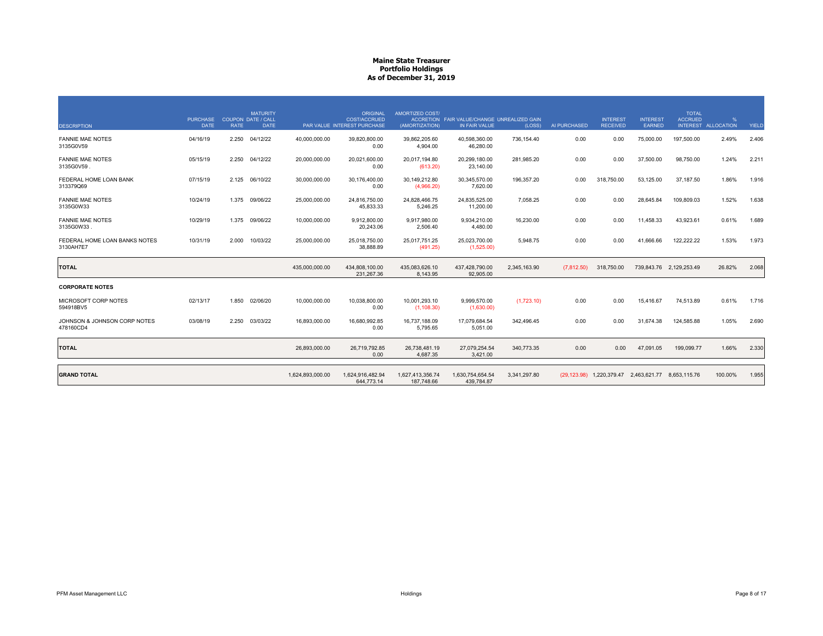| <b>DESCRIPTION</b>                         | <b>PURCHASE</b><br><b>DATE</b> | <b>RATE</b> | <b>MATURITY</b><br><b>COUPON DATE / CALL</b><br><b>DATE</b> |                  | <b>ORIGINAL</b><br><b>COST/ACCRUED</b><br>PAR VALUE INTEREST PURCHASE | AMORTIZED COST/<br>(AMORTIZATION) | ACCRETION FAIR VALUE/CHANGE UNREALIZED GAIN<br>IN FAIR VALUE | (LOSS)       | AI PURCHASED | <b>INTEREST</b><br><b>RECEIVED</b>                 | <b>INTEREST</b><br>EARNED | <b>TOTAL</b><br><b>ACCRUED</b> | $\frac{9}{6}$<br>INTEREST ALLOCATION | YIELD |
|--------------------------------------------|--------------------------------|-------------|-------------------------------------------------------------|------------------|-----------------------------------------------------------------------|-----------------------------------|--------------------------------------------------------------|--------------|--------------|----------------------------------------------------|---------------------------|--------------------------------|--------------------------------------|-------|
| <b>FANNIE MAE NOTES</b><br>3135G0V59       | 04/16/19                       |             | 2.250 04/12/22                                              | 40,000,000.00    | 39.820.800.00<br>0.00                                                 | 39.862.205.60<br>4,904.00         | 40.598.360.00<br>46,280.00                                   | 736.154.40   | 0.00         | 0.00                                               | 75,000.00                 | 197,500.00                     | 2.49%                                | 2.406 |
| <b>FANNIE MAE NOTES</b><br>3135G0V59.      | 05/15/19                       | 2.250       | 04/12/22                                                    | 20,000,000.00    | 20,021,600.00<br>0.00                                                 | 20,017,194.80<br>(613.20)         | 20,299,180.00<br>23,140.00                                   | 281,985.20   | 0.00         | 0.00                                               | 37,500.00                 | 98,750.00                      | 1.24%                                | 2.211 |
| FEDERAL HOME LOAN BANK<br>313379Q69        | 07/15/19                       |             | 2.125 06/10/22                                              | 30,000,000.00    | 30,176,400.00<br>0.00                                                 | 30,149,212.80<br>(4,966.20)       | 30,345,570.00<br>7,620.00                                    | 196,357.20   | 0.00         | 318,750.00                                         | 53,125.00                 | 37,187.50                      | 1.86%                                | 1.916 |
| <b>FANNIE MAE NOTES</b><br>3135G0W33       | 10/24/19                       |             | 1.375 09/06/22                                              | 25,000,000.00    | 24,816,750.00<br>45.833.33                                            | 24,828,466.75<br>5.246.25         | 24,835,525.00<br>11.200.00                                   | 7,058.25     | 0.00         | 0.00                                               | 28,645.84                 | 109,809.03                     | 1.52%                                | 1.638 |
| <b>FANNIE MAE NOTES</b><br>3135G0W33.      | 10/29/19                       |             | 1.375 09/06/22                                              | 10,000,000.00    | 9,912,800.00<br>20,243.06                                             | 9,917,980.00<br>2,506.40          | 9,934,210.00<br>4,480.00                                     | 16.230.00    | 0.00         | 0.00                                               | 11,458.33                 | 43,923.61                      | 0.61%                                | 1.689 |
| FEDERAL HOME LOAN BANKS NOTES<br>3130AH7E7 | 10/31/19                       | 2.000       | 10/03/22                                                    | 25,000,000.00    | 25,018,750.00<br>38,888.89                                            | 25,017,751.25<br>(491.25)         | 25,023,700.00<br>(1,525.00)                                  | 5,948.75     | 0.00         | 0.00                                               | 41,666.66                 | 122,222.22                     | 1.53%                                | 1.973 |
| <b>TOTAL</b>                               |                                |             |                                                             | 435.000.000.00   | 434.808.100.00<br>231,267.36                                          | 435,083,626.10<br>8,143.95        | 437,428,790.00<br>92,905.00                                  | 2,345,163.90 | (7,812.50)   | 318,750.00                                         |                           | 739,843.76 2,129,253.49        | 26.82%                               | 2.068 |
| <b>CORPORATE NOTES</b>                     |                                |             |                                                             |                  |                                                                       |                                   |                                                              |              |              |                                                    |                           |                                |                                      |       |
| MICROSOFT CORP NOTES<br>594918BV5          | 02/13/17                       | 1.850       | 02/06/20                                                    | 10,000,000.00    | 10,038,800.00<br>0.00                                                 | 10,001,293.10<br>(1, 108.30)      | 9,999,570.00<br>(1,630.00)                                   | (1,723.10)   | 0.00         | 0.00                                               | 15,416.67                 | 74,513.89                      | 0.61%                                | 1.716 |
| JOHNSON & JOHNSON CORP NOTES<br>478160CD4  | 03/08/19                       | 2.250       | 03/03/22                                                    | 16.893.000.00    | 16.680.992.85<br>0.00                                                 | 16.737.188.09<br>5,795.65         | 17.079.684.54<br>5.051.00                                    | 342.496.45   | 0.00         | 0.00                                               | 31.674.38                 | 124.585.88                     | 1.05%                                | 2.690 |
| <b>TOTAL</b>                               |                                |             |                                                             | 26,893,000.00    | 26,719,792.85<br>0.00                                                 | 26,738,481.19<br>4.687.35         | 27,079,254.54<br>3,421.00                                    | 340.773.35   | 0.00         | 0.00                                               | 47,091.05                 | 199,099.77                     | 1.66%                                | 2.330 |
| <b>GRAND TOTAL</b>                         |                                |             |                                                             | 1.624.893.000.00 | 1,624,916,482.94<br>644.773.14                                        | 1,627,413,356.74<br>187,748.66    | 1,630,754,654.54<br>439,784.87                               | 3,341,297.80 |              | (29,123.98) 1,220,379.47 2,463,621.77 8,653,115.76 |                           |                                | 100.00%                              | 1.955 |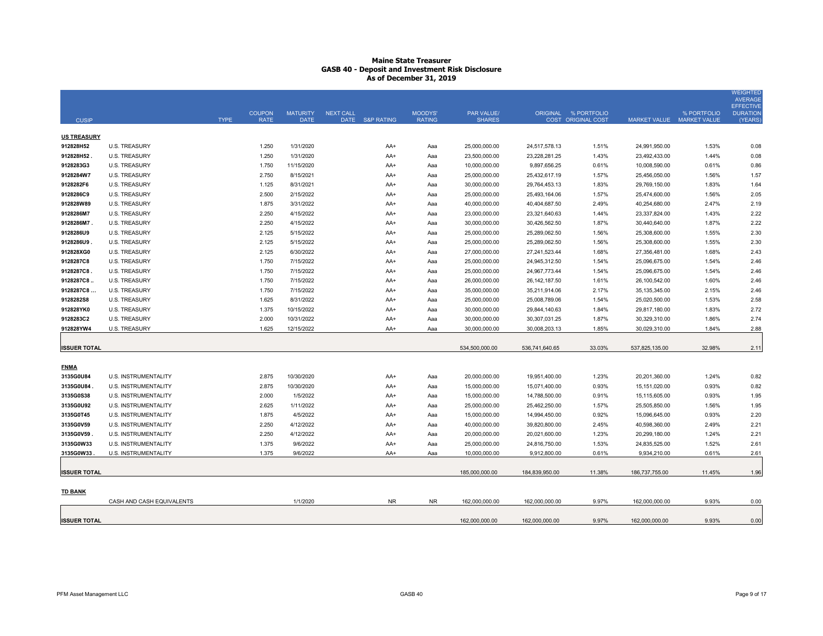# **Maine State Treasurer GASB 40 - Deposit and Investment Risk Disclosure As of December 31, 2019**

|                     |                             |             |                              |                                |                  |                 |                          |                             |                 |                                                   |                           |             | <b>WEIGHTED</b><br><b>AVERAGE</b> |
|---------------------|-----------------------------|-------------|------------------------------|--------------------------------|------------------|-----------------|--------------------------|-----------------------------|-----------------|---------------------------------------------------|---------------------------|-------------|-----------------------------------|
|                     |                             |             |                              |                                |                  |                 |                          |                             |                 |                                                   |                           |             | <b>EFFECTIV</b>                   |
| <b>CUSIP</b>        |                             | <b>TYPE</b> | <b>COUPON</b><br><b>RATE</b> | <b>MATURITY</b><br><b>DATE</b> | <b>NEXT CALL</b> | DATE S&P RATING | MOODYS'<br><b>RATING</b> | PAR VALUE/<br><b>SHARES</b> |                 | ORIGINAL % PORTFOLIO<br><b>COST ORIGINAL COST</b> | MARKET VALUE MARKET VALUE | % PORTFOLIO | <b>DURATION</b><br>(YEARS         |
|                     |                             |             |                              |                                |                  |                 |                          |                             |                 |                                                   |                           |             |                                   |
| <b>US TREASURY</b>  |                             |             |                              |                                |                  |                 |                          |                             |                 |                                                   |                           |             |                                   |
| 912828H52           | <b>U.S. TREASURY</b>        |             | 1.250                        | 1/31/2020                      |                  | AA+             | Aaa                      | 25,000,000.00               | 24,517,578.13   | 1.51%                                             | 24,991,950.00             | 1.53%       | 0.08                              |
| 912828H52.          | <b>U.S. TREASURY</b>        |             | 1.250                        | 1/31/2020                      |                  | AA+             | Aaa                      | 23,500,000.00               | 23,228,281.25   | 1.43%                                             | 23,492,433.00             | 1.44%       | 0.08                              |
| 9128283G3           | <b>U.S. TREASURY</b>        |             | 1.750                        | 11/15/2020                     |                  | AA+             | Aaa                      | 10,000,000.00               | 9,897,656.25    | 0.61%                                             | 10,008,590.00             | 0.61%       | 0.86                              |
| 9128284W7           | <b>U.S. TREASURY</b>        |             | 2.750                        | 8/15/2021                      |                  | AA+             | Aaa                      | 25,000,000.00               | 25,432,617.19   | 1.57%                                             | 25,456,050.00             | 1.56%       | 1.57                              |
| 9128282F6           | <b>U.S. TREASURY</b>        |             | 1.125                        | 8/31/2021                      |                  | AA+             | Aaa                      | 30,000,000.00               | 29,764,453.13   | 1.83%                                             | 29,769,150.00             | 1.83%       | 1.64                              |
| 9128286C9           | <b>U.S. TREASURY</b>        |             | 2.500                        | 2/15/2022                      |                  | AA+             | Aaa                      | 25,000,000.00               | 25,493,164.06   | 1.57%                                             | 25,474,600.00             | 1.56%       | 2.05                              |
| 912828W89           | <b>U.S. TREASURY</b>        |             | 1.875                        | 3/31/2022                      |                  | AA+             | Aaa                      | 40,000,000.00               | 40,404,687.50   | 2.49%                                             | 40,254,680.00             | 2.47%       | 2.19                              |
| 9128286M7           | <b>U.S. TREASURY</b>        |             | 2.250                        | 4/15/2022                      |                  | AA+             | Aaa                      | 23,000,000.00               | 23,321,640.63   | 1.44%                                             | 23,337,824.00             | 1.43%       | 2.22                              |
| 9128286M7           | U.S. TREASURY               |             | 2.250                        | 4/15/2022                      |                  | AA+             | Aaa                      | 30,000,000.00               | 30,426,562.50   | 1.87%                                             | 30,440,640.00             | 1.87%       | 2.22                              |
| 9128286U9           | <b>U.S. TREASURY</b>        |             | 2.125                        | 5/15/2022                      |                  | AA+             | Aaa                      | 25,000,000.00               | 25,289,062.50   | 1.56%                                             | 25,308,600.00             | 1.55%       | 2.30                              |
| 9128286U9.          | <b>U.S. TREASURY</b>        |             | 2.125                        | 5/15/2022                      |                  | AA+             | Aaa                      | 25,000,000.00               | 25,289,062.50   | 1.56%                                             | 25,308,600.00             | 1.55%       | 2.30                              |
| 912828XG0           | U.S. TREASURY               |             | 2.125                        | 6/30/2022                      |                  | AA+             | Aaa                      | 27,000,000.00               | 27,241,523.44   | 1.68%                                             | 27,356,481.00             | 1.68%       | 2.43                              |
| 9128287C8           | <b>U.S. TREASURY</b>        |             | 1.750                        | 7/15/2022                      |                  | AA+             | Aaa                      | 25,000,000.00               | 24,945,312.50   | 1.54%                                             | 25,096,675.00             | 1.54%       | 2.46                              |
| 9128287C8.          | U.S. TREASURY               |             | 1.750                        | 7/15/2022                      |                  | AA+             | Aaa                      | 25,000,000.00               | 24,967,773.44   | 1.54%                                             | 25,096,675.00             | 1.54%       | 2.46                              |
| 9128287C8           | <b>U.S. TREASURY</b>        |             | 1.750                        | 7/15/2022                      |                  | AA+             | Aaa                      | 26,000,000.00               | 26, 142, 187.50 | 1.61%                                             | 26,100,542.00             | 1.60%       | 2.46                              |
| 9128287C8           | <b>U.S. TREASURY</b>        |             | 1.750                        | 7/15/2022                      |                  | AA+             | Aaa                      | 35,000,000.00               | 35,211,914.06   | 2.17%                                             | 35,135,345.00             | 2.15%       | 2.46                              |
| 9128282S8           | <b>U.S. TREASURY</b>        |             | 1.625                        | 8/31/2022                      |                  | AA+             | Aaa                      | 25,000,000.00               | 25,008,789.06   | 1.54%                                             | 25,020,500.00             | 1.53%       | 2.58                              |
| 912828YK0           | <b>U.S. TREASURY</b>        |             | 1.375                        | 10/15/2022                     |                  | AA+             | Aaa                      | 30,000,000.00               | 29,844,140.63   | 1.84%                                             | 29,817,180.00             | 1.83%       | 2.72                              |
| 9128283C2           | <b>U.S. TREASURY</b>        |             | 2.000                        | 10/31/2022                     |                  | AA+             | Aaa                      | 30,000,000.00               | 30,307,031.25   | 1.87%                                             | 30,329,310.00             | 1.86%       | 2.74                              |
| 912828YW4           | <b>U.S. TREASURY</b>        |             | 1.625                        | 12/15/2022                     |                  | AA+             | Aaa                      | 30,000,000.00               | 30,008,203.13   | 1.85%                                             | 30,029,310.00             | 1.84%       | 2.88                              |
|                     |                             |             |                              |                                |                  |                 |                          |                             |                 |                                                   |                           |             |                                   |
| <b>ISSUER TOTAL</b> |                             |             |                              |                                |                  |                 |                          | 534,500,000.00              | 536,741,640.65  | 33.03%                                            | 537,825,135.00            | 32.98%      | 2.11                              |
|                     |                             |             |                              |                                |                  |                 |                          |                             |                 |                                                   |                           |             |                                   |
| <b>FNMA</b>         |                             |             |                              |                                |                  |                 |                          |                             |                 |                                                   |                           |             |                                   |
| 3135G0U84           | U.S. INSTRUMENTALITY        |             | 2.875                        | 10/30/2020                     |                  | AA+             | Aaa                      | 20,000,000.00               | 19,951,400.00   | 1.23%                                             | 20,201,360.00             | 1.24%       | 0.82                              |
| 3135G0U84           | U.S. INSTRUMENTALITY        |             | 2.875                        | 10/30/2020                     |                  | AA+             | Aaa                      | 15,000,000.00               | 15,071,400.00   | 0.93%                                             | 15,151,020.00             | 0.93%       | 0.82                              |
| 3135G0S38           | <b>U.S. INSTRUMENTALITY</b> |             | 2.000                        | 1/5/2022                       |                  | AA+             | Aaa                      | 15,000,000.00               | 14,788,500.00   | 0.91%                                             | 15,115,605.00             | 0.93%       | 1.95                              |
| 3135G0U92           | U.S. INSTRUMENTALITY        |             | 2.625                        | 1/11/2022                      |                  | AA+             | Aaa                      | 25,000,000.00               | 25,462,250.00   | 1.57%                                             | 25,505,850.00             | 1.56%       | 1.95                              |
| 3135G0T45           | <b>U.S. INSTRUMENTALITY</b> |             | 1.875                        | 4/5/2022                       |                  | AA+             | Aaa                      | 15,000,000.00               | 14,994,450.00   | 0.92%                                             | 15,096,645.00             | 0.93%       | 2.20                              |
| 3135G0V59           | U.S. INSTRUMENTALITY        |             | 2.250                        | 4/12/2022                      |                  | AA+             | Aaa                      | 40,000,000.00               | 39,820,800.00   | 2.45%                                             | 40,598,360.00             | 2.49%       | 2.21                              |
| 3135G0V59           | <b>U.S. INSTRUMENTALITY</b> |             | 2.250                        | 4/12/2022                      |                  | AA+             | Aaa                      | 20,000,000.00               | 20,021,600.00   | 1.23%                                             | 20,299,180.00             | 1.24%       | 2.21                              |
| 3135G0W33           | U.S. INSTRUMENTALITY        |             | 1.375                        | 9/6/2022                       |                  | AA+             | Aaa                      | 25,000,000.00               | 24,816,750.00   | 1.53%                                             | 24,835,525.00             | 1.52%       | 2.61                              |
| 3135G0W33           | U.S. INSTRUMENTALITY        |             | 1.375                        | 9/6/2022                       |                  | AA+             | Aaa                      | 10,000,000.00               | 9,912,800.00    | 0.61%                                             | 9,934,210.00              | 0.61%       | 2.61                              |
|                     |                             |             |                              |                                |                  |                 |                          |                             |                 |                                                   |                           |             |                                   |
| <b>ISSUER TOTAL</b> |                             |             |                              |                                |                  |                 |                          | 185,000,000.00              | 184,839,950.00  | 11.38%                                            | 186,737,755.00            | 11.45%      | 1.96                              |
|                     |                             |             |                              |                                |                  |                 |                          |                             |                 |                                                   |                           |             |                                   |
| <b>TD BANK</b>      |                             |             |                              |                                |                  |                 |                          |                             |                 |                                                   |                           |             |                                   |
|                     | CASH AND CASH EQUIVALENTS   |             |                              | 1/1/2020                       |                  | <b>NR</b>       | NR.                      | 162,000,000.00              | 162,000,000.00  | 9.97%                                             | 162.000.000.00            | 9.93%       | 0.00                              |
|                     |                             |             |                              |                                |                  |                 |                          |                             |                 |                                                   |                           |             |                                   |
| <b>ISSUER TOTAL</b> |                             |             |                              |                                |                  |                 |                          | 162.000.000.00              | 162.000.000.00  | 9.97%                                             | 162.000.000.00            | 9.93%       | 0.00                              |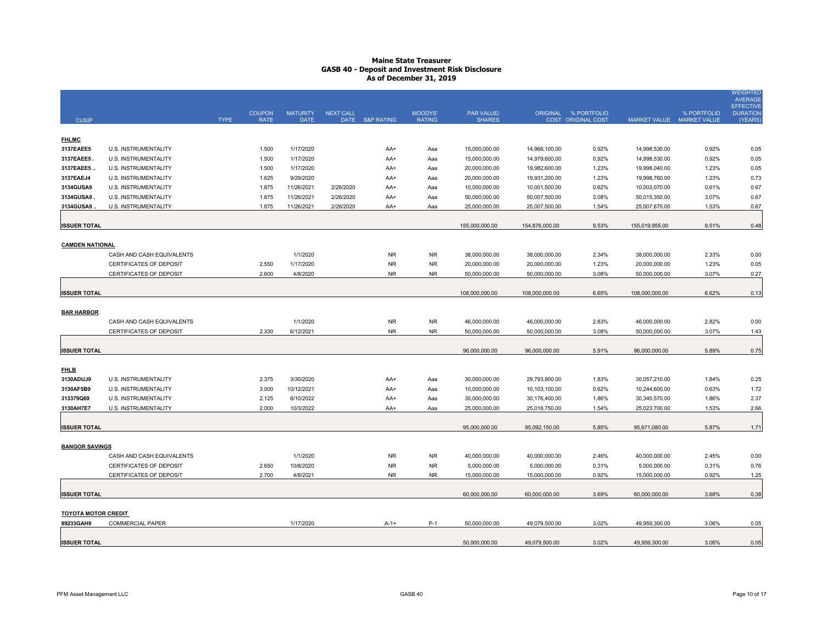# **Maine State Treasurer GASB 40 - Deposit and Investment Risk Disclosure As of December 31, 2019**

| <b>CUSIP</b>               |                                | <b>TYPE</b> | <b>COUPON</b><br><b>RATE</b> | <b>MATURITY</b><br><b>DATE</b> | <b>NEXT CALL</b> | DATE S&P RATING | <b>MOODYS'</b><br><b>RATING</b> | PAR VALUE/<br><b>SHARES</b> |                | ORIGINAL % PORTFOLIO<br>COST ORIGINAL COST |                | % PORTFOLIO<br>MARKET VALUE MARKET VALUE | <b>WEIGHTED</b><br><b>AVERAGE</b><br><b>EFFECTIVE</b><br><b>DURATION</b><br>(YEARS) |
|----------------------------|--------------------------------|-------------|------------------------------|--------------------------------|------------------|-----------------|---------------------------------|-----------------------------|----------------|--------------------------------------------|----------------|------------------------------------------|-------------------------------------------------------------------------------------|
| <b>FHLMC</b>               |                                |             |                              |                                |                  |                 |                                 |                             |                |                                            |                |                                          |                                                                                     |
| 3137EAEE5                  | U.S. INSTRUMENTALITY           |             | 1.500                        | 1/17/2020                      |                  | AA+             | Aaa                             | 15,000,000.00               | 14,966,100.00  | 0.92%                                      | 14,998,530.00  | 0.92%                                    | 0.05                                                                                |
| 3137EAEE5                  | U.S. INSTRUMENTALITY           |             | 1.500                        | 1/17/2020                      |                  | AA+             | Aaa                             | 15,000,000.00               | 14,979,600.00  | 0.92%                                      | 14,998,530.00  | 0.92%                                    | 0.05                                                                                |
| 3137EAEE5                  | U.S. INSTRUMENTALITY           |             | 1.500                        | 1/17/2020                      |                  | AA+             | Aaa                             | 20,000,000.00               | 19,982,600.00  | 1.23%                                      | 19,998,040.00  | 1.23%                                    | 0.05                                                                                |
| 3137EAEJ4                  | U.S. INSTRUMENTALITY           |             | 1.625                        | 9/29/2020                      |                  | AA+             | Aaa                             | 20,000,000.00               | 19,931,200.00  | 1.23%                                      | 19,998,760.00  | 1.23%                                    | 0.73                                                                                |
| 3134GUSA9                  | U.S. INSTRUMENTALITY           |             | 1.875                        | 11/26/2021                     | 2/26/2020        | AA+             | Aaa                             | 10,000,000.00               | 10,001,500.00  | 0.62%                                      | 10,003,070.00  | 0.61%                                    | 0.67                                                                                |
| 3134GUSA9                  | U.S. INSTRUMENTALITY           |             | 1.875                        | 11/26/2021                     | 2/26/2020        | AA+             | Aaa                             | 50,000,000.00               | 50,007,500.00  | 3.08%                                      | 50,015,350.00  | 3.07%                                    | 0.67                                                                                |
| 3134GUSA9                  | U.S. INSTRUMENTALITY           |             | 1.875                        | 11/26/2021                     | 2/26/2020        | AA+             | Aaa                             | 25,000,000.00               | 25,007,500.00  | 1.54%                                      | 25,007,675.00  | 1.53%                                    | 0.67                                                                                |
|                            |                                |             |                              |                                |                  |                 |                                 |                             |                |                                            |                |                                          |                                                                                     |
| <b>ISSUER TOTAL</b>        |                                |             |                              |                                |                  |                 |                                 | 155,000,000.00              | 154,876,000.00 | 9.53%                                      | 155,019,955.00 | 9.51%                                    | 0.48                                                                                |
| <b>CAMDEN NATIONAL</b>     |                                |             |                              |                                |                  |                 |                                 |                             |                |                                            |                |                                          |                                                                                     |
|                            | CASH AND CASH EQUIVALENTS      |             |                              | 1/1/2020                       |                  | <b>NR</b>       | <b>NR</b>                       | 38,000,000.00               | 38,000,000.00  | 2.34%                                      | 38,000,000.00  | 2.33%                                    | 0.00                                                                                |
|                            | CERTIFICATES OF DEPOSIT        |             | 2.550                        | 1/17/2020                      |                  | <b>NR</b>       | <b>NR</b>                       | 20,000,000.00               | 20,000,000.00  | 1.23%                                      | 20,000,000.00  | 1.23%                                    | 0.05                                                                                |
|                            | CERTIFICATES OF DEPOSIT        |             | 2.600                        | 4/8/2020                       |                  | <b>NR</b>       | <b>NR</b>                       | 50,000,000.00               | 50,000,000.00  | 3.08%                                      | 50,000,000.00  | 3.07%                                    | 0.27                                                                                |
|                            |                                |             |                              |                                |                  |                 |                                 |                             |                |                                            |                |                                          |                                                                                     |
| <b>ISSUER TOTAL</b>        |                                |             |                              |                                |                  |                 |                                 | 108,000,000.00              | 108.000.000.00 | 6.65%                                      | 108,000,000.00 | 6.62%                                    | 0.13                                                                                |
| <b>BAR HARBOR</b>          |                                |             |                              |                                |                  |                 |                                 |                             |                |                                            |                |                                          |                                                                                     |
|                            | CASH AND CASH EQUIVALENTS      |             |                              | 1/1/2020                       |                  | <b>NR</b>       | <b>NR</b>                       | 46,000,000.00               | 46,000,000.00  | 2.83%                                      | 46,000,000.00  | 2.82%                                    | 0.00                                                                                |
|                            | CERTIFICATES OF DEPOSIT        |             | 2.330                        | 6/12/2021                      |                  | <b>NR</b>       | <b>NR</b>                       | 50,000,000.00               | 50,000,000.00  | 3.08%                                      | 50,000,000.00  | 3.07%                                    | 1.43                                                                                |
|                            |                                |             |                              |                                |                  |                 |                                 |                             |                |                                            |                |                                          |                                                                                     |
| <b>ISSUER TOTAL</b>        |                                |             |                              |                                |                  |                 |                                 | 96,000,000.00               | 96,000,000.00  | 5.91%                                      | 96,000,000.00  | 5.89%                                    | 0.75                                                                                |
|                            |                                |             |                              |                                |                  |                 |                                 |                             |                |                                            |                |                                          |                                                                                     |
| <b>FHLB</b>                |                                |             |                              |                                |                  |                 |                                 |                             |                |                                            |                |                                          |                                                                                     |
| 3130ADUJ9                  | U.S. INSTRUMENTALITY           |             | 2.375                        | 3/30/2020                      |                  | AA+             | Aaa                             | 30,000,000.00               | 29,793,900.00  | 1.83%                                      | 30,057,210.00  | 1.84%                                    | 0.25                                                                                |
| 3130AF5B9                  | U.S. INSTRUMENTALITY           |             | 3.000                        | 10/12/2021                     |                  | AA+             | Aaa                             | 10,000,000.00               | 10,103,100.00  | 0.62%                                      | 10,244,600.00  | 0.63%                                    | 1.72                                                                                |
| 313379Q69                  | U.S. INSTRUMENTALITY           |             | 2.125                        | 6/10/2022                      |                  | AA+             | Aaa                             | 30,000,000.00               | 30,176,400.00  | 1.86%                                      | 30,345,570.00  | 1.86%                                    | 2.37                                                                                |
| 3130AH7E7                  | U.S. INSTRUMENTALITY           |             | 2.000                        | 10/3/2022                      |                  | AA+             | Aaa                             | 25,000,000.00               | 25,018,750.00  | 1.54%                                      | 25,023,700.00  | 1.53%                                    | 2.66                                                                                |
| <b>ISSUER TOTAL</b>        |                                |             |                              |                                |                  |                 |                                 | 95,000,000.00               | 95,092,150.00  | 5.85%                                      | 95,671,080.00  | 5.87%                                    | 1.71                                                                                |
|                            |                                |             |                              |                                |                  |                 |                                 |                             |                |                                            |                |                                          |                                                                                     |
| <b>BANGOR SAVINGS</b>      |                                |             |                              |                                |                  |                 |                                 |                             |                |                                            |                |                                          |                                                                                     |
|                            | CASH AND CASH EQUIVALENTS      |             |                              | 1/1/2020                       |                  | <b>NR</b>       | <b>NR</b>                       | 40,000,000.00               | 40,000,000.00  | 2.46%                                      | 40,000,000.00  | 2.45%                                    | 0.00                                                                                |
|                            | CERTIFICATES OF DEPOSIT        |             | 2.650                        | 10/8/2020                      |                  | <b>NR</b>       | <b>NR</b>                       | 5,000,000.00                | 5,000,000.00   | 0.31%                                      | 5,000,000.00   | 0.31%                                    | 0.76                                                                                |
|                            | <b>CERTIFICATES OF DEPOSIT</b> |             | 2.700                        | 4/8/2021                       |                  | N <sub>R</sub>  | N <sub>R</sub>                  | 15,000,000.00               | 15,000,000.00  | 0.92%                                      | 15,000,000.00  | 0.92%                                    | 1.25                                                                                |
|                            |                                |             |                              |                                |                  |                 |                                 |                             |                |                                            |                |                                          |                                                                                     |
| <b>ISSUER TOTAL</b>        |                                |             |                              |                                |                  |                 |                                 | 60,000,000.00               | 60,000,000.00  | 3.69%                                      | 60,000,000.00  | 3.68%                                    | 0.38                                                                                |
| <b>TOYOTA MOTOR CREDIT</b> |                                |             |                              |                                |                  |                 |                                 |                             |                |                                            |                |                                          |                                                                                     |
| 89233GAH9                  | <b>COMMERCIAL PAPER</b>        |             |                              | 1/17/2020                      |                  | $A-1+$          | $P-1$                           | 50,000,000.00               | 49,079,500.00  | 3.02%                                      | 49,959,300.00  | 3.06%                                    | 0.05                                                                                |
| <b>ISSUER TOTAL</b>        |                                |             |                              |                                |                  |                 |                                 | 50,000,000.00               | 49,079,500.00  | 3.02%                                      | 49,959,300.00  | 3.06%                                    | 0.05                                                                                |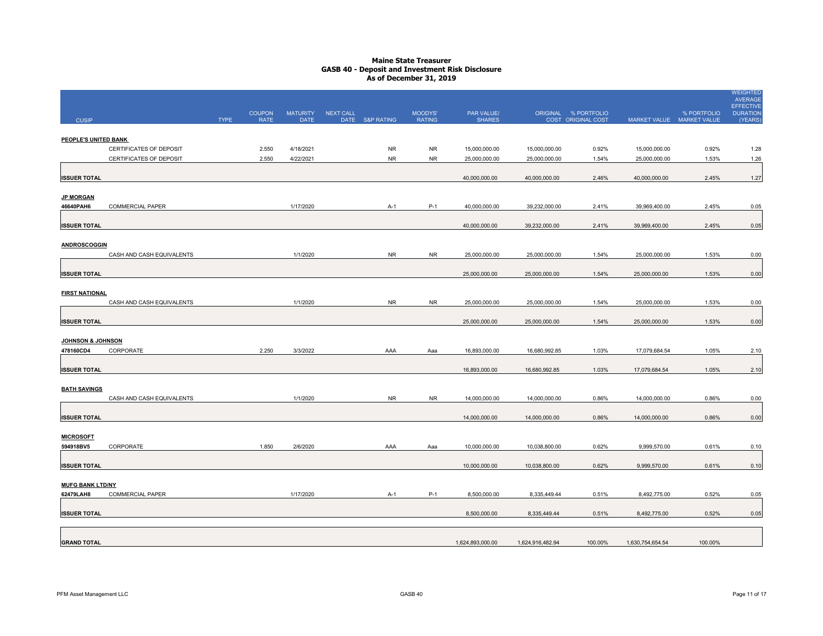# **Maine State Treasurer GASB 40 - Deposit and Investment Risk Disclosure As of December 31, 2019**

|                                      |                           |             |                              |                                |           |                 |                          |                             |                  |                                            |                           |             | <b>WEIGHTED</b><br><b>AVERAGE</b><br><b>EFFECTIVE</b> |
|--------------------------------------|---------------------------|-------------|------------------------------|--------------------------------|-----------|-----------------|--------------------------|-----------------------------|------------------|--------------------------------------------|---------------------------|-------------|-------------------------------------------------------|
| <b>CUSIP</b>                         |                           | <b>TYPE</b> | <b>COUPON</b><br><b>RATE</b> | <b>MATURITY</b><br><b>DATE</b> | NEXT CALL | DATE S&P RATING | MOODYS'<br><b>RATING</b> | PAR VALUE/<br><b>SHARES</b> |                  | ORIGINAL % PORTFOLIO<br>COST ORIGINAL COST | MARKET VALUE MARKET VALUE | % PORTFOLIO | <b>DURATION</b><br>(YEARS                             |
|                                      |                           |             |                              |                                |           |                 |                          |                             |                  |                                            |                           |             |                                                       |
| PEOPLE'S UNITED BANK                 |                           |             |                              |                                |           |                 |                          |                             |                  |                                            |                           |             |                                                       |
|                                      | CERTIFICATES OF DEPOSIT   |             | 2.550                        | 4/18/2021                      |           | <b>NR</b>       | <b>NR</b>                | 15,000,000.00               | 15,000,000.00    | 0.92%                                      | 15,000,000.00             | 0.92%       | 1.28                                                  |
|                                      | CERTIFICATES OF DEPOSIT   |             | 2.550                        | 4/22/2021                      |           | <b>NR</b>       | <b>NR</b>                | 25,000,000.00               | 25,000,000.00    | 1.54%                                      | 25,000,000.00             | 1.53%       | 1.26                                                  |
|                                      |                           |             |                              |                                |           |                 |                          |                             |                  |                                            |                           |             |                                                       |
| <b>ISSUER TOTAL</b>                  |                           |             |                              |                                |           |                 |                          | 40,000,000.00               | 40,000,000.00    | 2.46%                                      | 40,000,000.00             | 2.45%       | 1.27                                                  |
|                                      |                           |             |                              |                                |           |                 |                          |                             |                  |                                            |                           |             |                                                       |
| <b>JP MORGAN</b><br>46640PAH6        | <b>COMMERCIAL PAPER</b>   |             |                              | 1/17/2020                      |           | $A-1$           | $P-1$                    | 40,000,000.00               | 39,232,000.00    | 2.41%                                      | 39,969,400.00             | 2.45%       | 0.05                                                  |
|                                      |                           |             |                              |                                |           |                 |                          |                             |                  |                                            |                           |             |                                                       |
| <b>ISSUER TOTAL</b>                  |                           |             |                              |                                |           |                 |                          | 40,000,000.00               | 39,232,000.00    | 2.41%                                      | 39,969,400.00             | 2.45%       | 0.05                                                  |
|                                      |                           |             |                              |                                |           |                 |                          |                             |                  |                                            |                           |             |                                                       |
| <b>ANDROSCOGGIN</b>                  |                           |             |                              |                                |           |                 |                          |                             |                  |                                            |                           |             |                                                       |
|                                      | CASH AND CASH EQUIVALENTS |             |                              | 1/1/2020                       |           | <b>NR</b>       | <b>NR</b>                | 25,000,000.00               | 25,000,000.00    | 1.54%                                      | 25,000,000.00             | 1.53%       | 0.00                                                  |
|                                      |                           |             |                              |                                |           |                 |                          |                             |                  |                                            |                           |             |                                                       |
| <b>ISSUER TOTAL</b>                  |                           |             |                              |                                |           |                 |                          | 25,000,000.00               | 25,000,000.00    | 1.54%                                      | 25,000,000.00             | 1.53%       | 0.00                                                  |
|                                      |                           |             |                              |                                |           |                 |                          |                             |                  |                                            |                           |             |                                                       |
| <b>FIRST NATIONAL</b>                | CASH AND CASH EQUIVALENTS |             |                              | 1/1/2020                       |           | <b>NR</b>       | <b>NR</b>                | 25,000,000.00               | 25,000,000.00    | 1.54%                                      | 25,000,000.00             | 1.53%       | 0.00                                                  |
|                                      |                           |             |                              |                                |           |                 |                          |                             |                  |                                            |                           |             |                                                       |
| <b>ISSUER TOTAL</b>                  |                           |             |                              |                                |           |                 |                          | 25,000,000.00               | 25,000,000.00    | 1.54%                                      | 25,000,000.00             | 1.53%       | 0.00                                                  |
|                                      |                           |             |                              |                                |           |                 |                          |                             |                  |                                            |                           |             |                                                       |
| <b>JOHNSON &amp; JOHNSON</b>         |                           |             |                              |                                |           |                 |                          |                             |                  |                                            |                           |             |                                                       |
| 478160CD4                            | CORPORATE                 |             | 2.250                        | 3/3/2022                       |           | AAA             | Aaa                      | 16,893,000.00               | 16,680,992.85    | 1.03%                                      | 17,079,684.54             | 1.05%       | 2.10                                                  |
|                                      |                           |             |                              |                                |           |                 |                          |                             |                  |                                            |                           |             |                                                       |
| <b>ISSUER TOTAL</b>                  |                           |             |                              |                                |           |                 |                          | 16,893,000.00               | 16,680,992.85    | 1.03%                                      | 17,079,684.54             | 1.05%       | 2.10                                                  |
| <b>BATH SAVINGS</b>                  |                           |             |                              |                                |           |                 |                          |                             |                  |                                            |                           |             |                                                       |
|                                      | CASH AND CASH EQUIVALENTS |             |                              | 1/1/2020                       |           | <b>NR</b>       | <b>NR</b>                | 14,000,000.00               | 14,000,000.00    | 0.86%                                      | 14,000,000.00             | 0.86%       | 0.00                                                  |
|                                      |                           |             |                              |                                |           |                 |                          |                             |                  |                                            |                           |             |                                                       |
| <b>ISSUER TOTAL</b>                  |                           |             |                              |                                |           |                 |                          | 14,000,000.00               | 14,000,000.00    | 0.86%                                      | 14,000,000.00             | 0.86%       | 0.00                                                  |
|                                      |                           |             |                              |                                |           |                 |                          |                             |                  |                                            |                           |             |                                                       |
| <b>MICROSOFT</b>                     |                           |             |                              |                                |           |                 |                          |                             |                  |                                            |                           |             |                                                       |
| 594918BV5                            | CORPORATE                 |             | 1.850                        | 2/6/2020                       |           | AAA             | Aaa                      | 10,000,000.00               | 10,038,800.00    | 0.62%                                      | 9,999,570.00              | 0.61%       | 0.10                                                  |
|                                      |                           |             |                              |                                |           |                 |                          |                             |                  |                                            |                           |             |                                                       |
| <b>ISSUER TOTAL</b>                  |                           |             |                              |                                |           |                 |                          | 10,000,000.00               | 10,038,800.00    | 0.62%                                      | 9,999,570.00              | 0.61%       | 0.10                                                  |
|                                      |                           |             |                              |                                |           |                 |                          |                             |                  |                                            |                           |             |                                                       |
| <b>MUFG BANK LTD/NY</b><br>62479LAH8 | COMMERCIAL PAPER          |             |                              | 1/17/2020                      |           | A-1             | P-1                      | 8,500,000.00                | 8,335,449.44     | 0.51%                                      | 8,492,775.00              | 0.52%       | 0.05                                                  |
|                                      |                           |             |                              |                                |           |                 |                          |                             |                  |                                            |                           |             |                                                       |
| <b>ISSUER TOTAL</b>                  |                           |             |                              |                                |           |                 |                          | 8,500,000.00                | 8,335,449.44     | 0.51%                                      | 8,492,775.00              | 0.52%       | 0.05                                                  |
|                                      |                           |             |                              |                                |           |                 |                          |                             |                  |                                            |                           |             |                                                       |
|                                      |                           |             |                              |                                |           |                 |                          |                             |                  |                                            |                           |             |                                                       |
| <b>GRAND TOTAL</b>                   |                           |             |                              |                                |           |                 |                          | 1,624,893,000.00            | 1,624,916,482.94 | 100.00%                                    | 1,630,754,654.54          | 100.00%     |                                                       |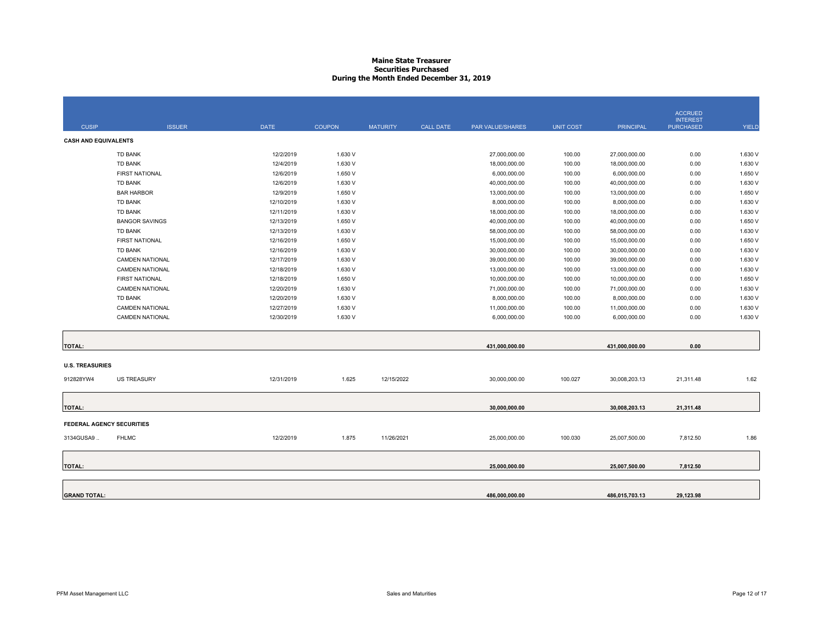# **Maine State Treasurer Securities PurchasedDuring the Month Ended December 31, 2019**

|                                  |                        |             |               |                 |                  |                  |                  |                  | <b>ACCRUED</b><br><b>INTEREST</b> |              |
|----------------------------------|------------------------|-------------|---------------|-----------------|------------------|------------------|------------------|------------------|-----------------------------------|--------------|
| <b>CUSIP</b>                     | <b>ISSUER</b>          | <b>DATE</b> | <b>COUPON</b> | <b>MATURITY</b> | <b>CALL DATE</b> | PAR VALUE/SHARES | <b>UNIT COST</b> | <b>PRINCIPAL</b> | <b>PURCHASED</b>                  | <b>YIELD</b> |
| <b>CASH AND EQUIVALENTS</b>      |                        |             |               |                 |                  |                  |                  |                  |                                   |              |
|                                  | TD BANK                | 12/2/2019   | 1.630 V       |                 |                  | 27,000,000.00    | 100.00           | 27,000,000.00    | 0.00                              | 1.630 V      |
|                                  | TD BANK                | 12/4/2019   | 1.630 V       |                 |                  | 18,000,000.00    | 100.00           | 18,000,000.00    | 0.00                              | 1.630 V      |
|                                  | <b>FIRST NATIONAL</b>  | 12/6/2019   | 1.650 V       |                 |                  | 6,000,000.00     | 100.00           | 6,000,000.00     | 0.00                              | 1.650 V      |
|                                  | <b>TD BANK</b>         | 12/6/2019   | 1.630 V       |                 |                  | 40,000,000.00    | 100.00           | 40,000,000.00    | 0.00                              | 1.630 V      |
|                                  | <b>BAR HARBOR</b>      | 12/9/2019   | 1.650 V       |                 |                  | 13,000,000.00    | 100.00           | 13,000,000.00    | 0.00                              | 1.650 V      |
|                                  | TD BANK                | 12/10/2019  | 1.630 V       |                 |                  | 8,000,000.00     | 100.00           | 8,000,000.00     | 0.00                              | 1.630 V      |
|                                  | <b>TD BANK</b>         | 12/11/2019  | 1.630 V       |                 |                  | 18,000,000.00    | 100.00           | 18,000,000.00    | 0.00                              | 1.630 V      |
|                                  | <b>BANGOR SAVINGS</b>  | 12/13/2019  | 1.650 V       |                 |                  | 40,000,000.00    | 100.00           | 40,000,000.00    | 0.00                              | 1.650 V      |
|                                  | TD BANK                | 12/13/2019  | 1.630 V       |                 |                  | 58,000,000.00    | 100.00           | 58,000,000.00    | 0.00                              | 1.630 V      |
|                                  | <b>FIRST NATIONAL</b>  | 12/16/2019  | 1.650 V       |                 |                  | 15,000,000.00    | 100.00           | 15,000,000.00    | 0.00                              | 1.650 V      |
|                                  | TD BANK                | 12/16/2019  | 1.630 V       |                 |                  | 30,000,000.00    | 100.00           | 30,000,000.00    | 0.00                              | 1.630 V      |
|                                  | <b>CAMDEN NATIONAL</b> | 12/17/2019  | 1.630 V       |                 |                  | 39,000,000.00    | 100.00           | 39,000,000.00    | 0.00                              | 1.630 V      |
|                                  | <b>CAMDEN NATIONAL</b> | 12/18/2019  | 1.630 V       |                 |                  | 13,000,000.00    | 100.00           | 13,000,000.00    | 0.00                              | 1.630 V      |
|                                  | FIRST NATIONAL         | 12/18/2019  | 1.650 V       |                 |                  | 10,000,000.00    | 100.00           | 10,000,000.00    | 0.00                              | 1.650 V      |
|                                  | <b>CAMDEN NATIONAL</b> | 12/20/2019  | 1.630 V       |                 |                  | 71,000,000.00    | 100.00           | 71,000,000.00    | 0.00                              | 1.630 V      |
|                                  | TD BANK                | 12/20/2019  | 1.630 V       |                 |                  | 8,000,000.00     | 100.00           | 8,000,000.00     | 0.00                              | 1.630 V      |
|                                  | <b>CAMDEN NATIONAL</b> | 12/27/2019  | 1.630 V       |                 |                  | 11,000,000.00    | 100.00           | 11,000,000.00    | 0.00                              | 1.630 V      |
|                                  | <b>CAMDEN NATIONAL</b> | 12/30/2019  | 1.630 V       |                 |                  | 6,000,000.00     | 100.00           | 6,000,000.00     | 0.00                              | 1.630 V      |
|                                  |                        |             |               |                 |                  |                  |                  |                  |                                   |              |
| <b>TOTAL:</b>                    |                        |             |               |                 |                  | 431,000,000.00   |                  | 431,000,000.00   | 0.00                              |              |
| <b>U.S. TREASURIES</b>           |                        |             |               |                 |                  |                  |                  |                  |                                   |              |
| 912828YW4                        | <b>US TREASURY</b>     | 12/31/2019  | 1.625         | 12/15/2022      |                  | 30,000,000.00    | 100.027          | 30,008,203.13    | 21,311.48                         | 1.62         |
|                                  |                        |             |               |                 |                  |                  |                  |                  |                                   |              |
| <b>TOTAL:</b>                    |                        |             |               |                 |                  | 30,000,000.00    |                  | 30,008,203.13    | 21,311.48                         |              |
| <b>FEDERAL AGENCY SECURITIES</b> |                        |             |               |                 |                  |                  |                  |                  |                                   |              |
| 3134GUSA9                        | <b>FHLMC</b>           | 12/2/2019   | 1.875         | 11/26/2021      |                  | 25,000,000.00    | 100.030          | 25,007,500.00    | 7,812.50                          | 1.86         |
| <b>TOTAL:</b>                    |                        |             |               |                 |                  | 25,000,000.00    |                  | 25,007,500.00    | 7,812.50                          |              |
|                                  |                        |             |               |                 |                  |                  |                  |                  |                                   |              |
|                                  |                        |             |               |                 |                  |                  |                  |                  |                                   |              |
| <b>GRAND TOTAL:</b>              |                        |             |               |                 |                  | 486,000,000.00   |                  | 486,015,703.13   | 29.123.98                         |              |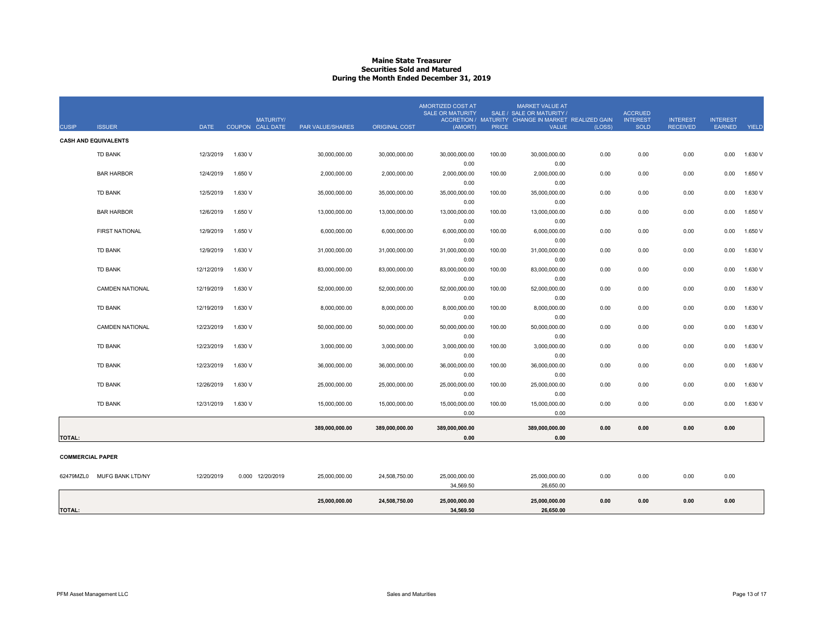# **Maine State Treasurer Securities Sold and MaturedDuring the Month Ended December 31, 2019**

| <b>CASH AND EQUIVALENTS</b><br>1.630 V<br>30,000,000.00<br>100.00<br>30,000,000.00<br>0.00<br>0.00<br>0.00<br>1.630 V<br><b>TD BANK</b><br>12/3/2019<br>30,000,000.00<br>30,000,000.00<br>0.00<br>0.00<br>0.00<br><b>BAR HARBOR</b><br>1.650 V<br>2,000,000.00<br>100.00<br>2,000,000.00<br>1.650 V<br>12/4/2019<br>2,000,000.00<br>2,000,000.00<br>0.00<br>0.00<br>0.00<br>0.00<br>0.00<br>0.00<br>12/5/2019<br>1.630 V<br>35,000,000.00<br>0.00<br>0.00<br>1.630 V<br><b>TD BANK</b><br>35,000,000.00<br>35,000,000.00<br>100.00<br>35,000,000.00<br>0.00<br>0.00<br>0.00<br>0.00<br>1.650 V<br>13,000,000.00<br>100.00<br>13,000,000.00<br>1.650 V<br><b>BAR HARBOR</b><br>12/6/2019<br>13,000,000.00<br>13,000,000.00<br>0.00<br>0.00<br>0.00<br>0.00<br>0.00<br>0.00<br>FIRST NATIONAL<br>1.650 V<br>6,000,000.00<br>6,000,000.00<br>0.00<br>0.00<br>0.00<br>0.00<br>1.650 V<br>12/9/2019<br>6,000,000.00<br>6,000,000.00<br>100.00<br>0.00<br>0.00<br>12/9/2019<br>1.630 V<br>31,000,000.00<br>31,000,000.00<br>0.00<br>0.00<br>1.630 V<br><b>TD BANK</b><br>31,000,000.00<br>31,000,000.00<br>100.00<br>0.00<br>0.00<br>0.00<br>0.00<br><b>TD BANK</b><br>12/12/2019<br>1.630 V<br>83,000,000.00<br>83,000,000.00<br>0.00<br>0.00<br>0.00<br>0.00<br>1.630 V<br>83,000,000.00<br>83,000,000.00<br>100.00<br>0.00<br>0.00<br>12/19/2019<br>1.630 V<br>52,000,000.00<br>100.00<br>52,000,000.00<br>0.00<br>0.00<br>0.00<br>1.630 V<br><b>CAMDEN NATIONAL</b><br>52,000,000.00<br>52,000,000.00<br>0.00<br>0.00<br>0.00<br><b>TD BANK</b><br>12/19/2019<br>1.630 V<br>8,000,000.00<br>100.00<br>8,000,000.00<br>0.00<br>0.00<br>0.00<br>1.630 V<br>8,000,000.00<br>8,000,000.00<br>0.00<br>0.00<br>0.00<br>12/23/2019<br><b>CAMDEN NATIONAL</b><br>1.630 V<br>50,000,000.00<br>50,000,000.00<br>100.00<br>50,000,000.00<br>0.00<br>0.00<br>0.00<br>0.00<br>1.630 V<br>50,000,000.00<br>0.00<br>0.00<br><b>TD BANK</b><br>12/23/2019<br>1.630 V<br>3,000,000.00<br>3,000,000.00<br>1.630 V<br>3.000.000.00<br>3,000,000.00<br>100.00<br>0.00<br>0.00<br>0.00<br>0.00<br>0.00<br>0.00<br><b>TD BANK</b><br>12/23/2019<br>1.630 V<br>36,000,000.00<br>36,000,000.00<br>100.00<br>36,000,000.00<br>0.00<br>0.00<br>0.00<br>0.00<br>1.630 V<br>36,000,000.00<br>0.00<br>0.00<br><b>TD BANK</b><br>12/26/2019<br>1.630 V<br>25,000,000.00<br>25,000,000.00<br>25,000,000.00<br>100.00<br>25,000,000.00<br>0.00<br>0.00<br>0.00<br>0.00<br>1.630 V<br>0.00<br>0.00<br>1.630 V<br>1.630 V<br><b>TD BANK</b><br>12/31/2019<br>15,000,000.00<br>15,000,000.00<br>15,000,000.00<br>100.00<br>15,000,000.00<br>0.00<br>0.00<br>0.00<br>0.00<br>0.00<br>0.00<br>389,000,000.00<br>389,000,000.00<br>0.00<br>0.00<br>0.00<br>0.00<br>389,000,000.00<br>389,000,000.00<br>0.00<br>0.00<br><b>TOTAL:</b><br><b>COMMERCIAL PAPER</b><br>0.00<br>0.00<br>0.00<br>0.00<br>62479MZL0<br>MUFG BANK LTD/NY<br>12/20/2019<br>0.000 12/20/2019<br>25,000,000.00<br>24,508,750.00<br>25,000,000.00<br>25,000,000.00<br>34,569.50<br>26,650.00<br>25,000,000.00<br>25,000,000.00<br>0.00<br>0.00<br>0.00<br>0.00<br>25,000,000.00<br>24,508,750.00 | <b>CUSIP</b>  | <b>ISSUER</b> | <b>DATE</b> | <b>MATURITY/</b><br>COUPON CALL DATE | <b>PAR VALUE/SHARES</b> | <b>ORIGINAL COST</b> | AMORTIZED COST AT<br><b>SALE OR MATURITY</b><br>(AMORT) | <b>PRICE</b> | <b>MARKET VALUE AT</b><br>SALE / SALE OR MATURITY /<br>ACCRETION / MATURITY CHANGE IN MARKET REALIZED GAIN<br><b>VALUE</b> | (LOSS) | <b>ACCRUED</b><br><b>INTEREST</b><br><b>SOLD</b> | <b>INTEREST</b><br><b>RECEIVED</b> | <b>INTEREST</b><br>EARNED | YIELD |
|------------------------------------------------------------------------------------------------------------------------------------------------------------------------------------------------------------------------------------------------------------------------------------------------------------------------------------------------------------------------------------------------------------------------------------------------------------------------------------------------------------------------------------------------------------------------------------------------------------------------------------------------------------------------------------------------------------------------------------------------------------------------------------------------------------------------------------------------------------------------------------------------------------------------------------------------------------------------------------------------------------------------------------------------------------------------------------------------------------------------------------------------------------------------------------------------------------------------------------------------------------------------------------------------------------------------------------------------------------------------------------------------------------------------------------------------------------------------------------------------------------------------------------------------------------------------------------------------------------------------------------------------------------------------------------------------------------------------------------------------------------------------------------------------------------------------------------------------------------------------------------------------------------------------------------------------------------------------------------------------------------------------------------------------------------------------------------------------------------------------------------------------------------------------------------------------------------------------------------------------------------------------------------------------------------------------------------------------------------------------------------------------------------------------------------------------------------------------------------------------------------------------------------------------------------------------------------------------------------------------------------------------------------------------------------------------------------------------------------------------------------------------------------------------------------------------------------------------------------------------------------------------------------------------------------------------------------------------------------------------------------------------------------------------------------------------------------------------------------------------------|---------------|---------------|-------------|--------------------------------------|-------------------------|----------------------|---------------------------------------------------------|--------------|----------------------------------------------------------------------------------------------------------------------------|--------|--------------------------------------------------|------------------------------------|---------------------------|-------|
|                                                                                                                                                                                                                                                                                                                                                                                                                                                                                                                                                                                                                                                                                                                                                                                                                                                                                                                                                                                                                                                                                                                                                                                                                                                                                                                                                                                                                                                                                                                                                                                                                                                                                                                                                                                                                                                                                                                                                                                                                                                                                                                                                                                                                                                                                                                                                                                                                                                                                                                                                                                                                                                                                                                                                                                                                                                                                                                                                                                                                                                                                                                              |               |               |             |                                      |                         |                      |                                                         |              |                                                                                                                            |        |                                                  |                                    |                           |       |
|                                                                                                                                                                                                                                                                                                                                                                                                                                                                                                                                                                                                                                                                                                                                                                                                                                                                                                                                                                                                                                                                                                                                                                                                                                                                                                                                                                                                                                                                                                                                                                                                                                                                                                                                                                                                                                                                                                                                                                                                                                                                                                                                                                                                                                                                                                                                                                                                                                                                                                                                                                                                                                                                                                                                                                                                                                                                                                                                                                                                                                                                                                                              |               |               |             |                                      |                         |                      |                                                         |              |                                                                                                                            |        |                                                  |                                    |                           |       |
|                                                                                                                                                                                                                                                                                                                                                                                                                                                                                                                                                                                                                                                                                                                                                                                                                                                                                                                                                                                                                                                                                                                                                                                                                                                                                                                                                                                                                                                                                                                                                                                                                                                                                                                                                                                                                                                                                                                                                                                                                                                                                                                                                                                                                                                                                                                                                                                                                                                                                                                                                                                                                                                                                                                                                                                                                                                                                                                                                                                                                                                                                                                              |               |               |             |                                      |                         |                      |                                                         |              |                                                                                                                            |        |                                                  |                                    |                           |       |
|                                                                                                                                                                                                                                                                                                                                                                                                                                                                                                                                                                                                                                                                                                                                                                                                                                                                                                                                                                                                                                                                                                                                                                                                                                                                                                                                                                                                                                                                                                                                                                                                                                                                                                                                                                                                                                                                                                                                                                                                                                                                                                                                                                                                                                                                                                                                                                                                                                                                                                                                                                                                                                                                                                                                                                                                                                                                                                                                                                                                                                                                                                                              |               |               |             |                                      |                         |                      |                                                         |              |                                                                                                                            |        |                                                  |                                    |                           |       |
|                                                                                                                                                                                                                                                                                                                                                                                                                                                                                                                                                                                                                                                                                                                                                                                                                                                                                                                                                                                                                                                                                                                                                                                                                                                                                                                                                                                                                                                                                                                                                                                                                                                                                                                                                                                                                                                                                                                                                                                                                                                                                                                                                                                                                                                                                                                                                                                                                                                                                                                                                                                                                                                                                                                                                                                                                                                                                                                                                                                                                                                                                                                              |               |               |             |                                      |                         |                      |                                                         |              |                                                                                                                            |        |                                                  |                                    |                           |       |
|                                                                                                                                                                                                                                                                                                                                                                                                                                                                                                                                                                                                                                                                                                                                                                                                                                                                                                                                                                                                                                                                                                                                                                                                                                                                                                                                                                                                                                                                                                                                                                                                                                                                                                                                                                                                                                                                                                                                                                                                                                                                                                                                                                                                                                                                                                                                                                                                                                                                                                                                                                                                                                                                                                                                                                                                                                                                                                                                                                                                                                                                                                                              |               |               |             |                                      |                         |                      |                                                         |              |                                                                                                                            |        |                                                  |                                    |                           |       |
|                                                                                                                                                                                                                                                                                                                                                                                                                                                                                                                                                                                                                                                                                                                                                                                                                                                                                                                                                                                                                                                                                                                                                                                                                                                                                                                                                                                                                                                                                                                                                                                                                                                                                                                                                                                                                                                                                                                                                                                                                                                                                                                                                                                                                                                                                                                                                                                                                                                                                                                                                                                                                                                                                                                                                                                                                                                                                                                                                                                                                                                                                                                              |               |               |             |                                      |                         |                      |                                                         |              |                                                                                                                            |        |                                                  |                                    |                           |       |
|                                                                                                                                                                                                                                                                                                                                                                                                                                                                                                                                                                                                                                                                                                                                                                                                                                                                                                                                                                                                                                                                                                                                                                                                                                                                                                                                                                                                                                                                                                                                                                                                                                                                                                                                                                                                                                                                                                                                                                                                                                                                                                                                                                                                                                                                                                                                                                                                                                                                                                                                                                                                                                                                                                                                                                                                                                                                                                                                                                                                                                                                                                                              |               |               |             |                                      |                         |                      |                                                         |              |                                                                                                                            |        |                                                  |                                    |                           |       |
|                                                                                                                                                                                                                                                                                                                                                                                                                                                                                                                                                                                                                                                                                                                                                                                                                                                                                                                                                                                                                                                                                                                                                                                                                                                                                                                                                                                                                                                                                                                                                                                                                                                                                                                                                                                                                                                                                                                                                                                                                                                                                                                                                                                                                                                                                                                                                                                                                                                                                                                                                                                                                                                                                                                                                                                                                                                                                                                                                                                                                                                                                                                              |               |               |             |                                      |                         |                      |                                                         |              |                                                                                                                            |        |                                                  |                                    |                           |       |
|                                                                                                                                                                                                                                                                                                                                                                                                                                                                                                                                                                                                                                                                                                                                                                                                                                                                                                                                                                                                                                                                                                                                                                                                                                                                                                                                                                                                                                                                                                                                                                                                                                                                                                                                                                                                                                                                                                                                                                                                                                                                                                                                                                                                                                                                                                                                                                                                                                                                                                                                                                                                                                                                                                                                                                                                                                                                                                                                                                                                                                                                                                                              |               |               |             |                                      |                         |                      |                                                         |              |                                                                                                                            |        |                                                  |                                    |                           |       |
|                                                                                                                                                                                                                                                                                                                                                                                                                                                                                                                                                                                                                                                                                                                                                                                                                                                                                                                                                                                                                                                                                                                                                                                                                                                                                                                                                                                                                                                                                                                                                                                                                                                                                                                                                                                                                                                                                                                                                                                                                                                                                                                                                                                                                                                                                                                                                                                                                                                                                                                                                                                                                                                                                                                                                                                                                                                                                                                                                                                                                                                                                                                              |               |               |             |                                      |                         |                      |                                                         |              |                                                                                                                            |        |                                                  |                                    |                           |       |
|                                                                                                                                                                                                                                                                                                                                                                                                                                                                                                                                                                                                                                                                                                                                                                                                                                                                                                                                                                                                                                                                                                                                                                                                                                                                                                                                                                                                                                                                                                                                                                                                                                                                                                                                                                                                                                                                                                                                                                                                                                                                                                                                                                                                                                                                                                                                                                                                                                                                                                                                                                                                                                                                                                                                                                                                                                                                                                                                                                                                                                                                                                                              |               |               |             |                                      |                         |                      |                                                         |              |                                                                                                                            |        |                                                  |                                    |                           |       |
|                                                                                                                                                                                                                                                                                                                                                                                                                                                                                                                                                                                                                                                                                                                                                                                                                                                                                                                                                                                                                                                                                                                                                                                                                                                                                                                                                                                                                                                                                                                                                                                                                                                                                                                                                                                                                                                                                                                                                                                                                                                                                                                                                                                                                                                                                                                                                                                                                                                                                                                                                                                                                                                                                                                                                                                                                                                                                                                                                                                                                                                                                                                              |               |               |             |                                      |                         |                      |                                                         |              |                                                                                                                            |        |                                                  |                                    |                           |       |
|                                                                                                                                                                                                                                                                                                                                                                                                                                                                                                                                                                                                                                                                                                                                                                                                                                                                                                                                                                                                                                                                                                                                                                                                                                                                                                                                                                                                                                                                                                                                                                                                                                                                                                                                                                                                                                                                                                                                                                                                                                                                                                                                                                                                                                                                                                                                                                                                                                                                                                                                                                                                                                                                                                                                                                                                                                                                                                                                                                                                                                                                                                                              |               |               |             |                                      |                         |                      |                                                         |              |                                                                                                                            |        |                                                  |                                    |                           |       |
|                                                                                                                                                                                                                                                                                                                                                                                                                                                                                                                                                                                                                                                                                                                                                                                                                                                                                                                                                                                                                                                                                                                                                                                                                                                                                                                                                                                                                                                                                                                                                                                                                                                                                                                                                                                                                                                                                                                                                                                                                                                                                                                                                                                                                                                                                                                                                                                                                                                                                                                                                                                                                                                                                                                                                                                                                                                                                                                                                                                                                                                                                                                              |               |               |             |                                      |                         |                      |                                                         |              |                                                                                                                            |        |                                                  |                                    |                           |       |
|                                                                                                                                                                                                                                                                                                                                                                                                                                                                                                                                                                                                                                                                                                                                                                                                                                                                                                                                                                                                                                                                                                                                                                                                                                                                                                                                                                                                                                                                                                                                                                                                                                                                                                                                                                                                                                                                                                                                                                                                                                                                                                                                                                                                                                                                                                                                                                                                                                                                                                                                                                                                                                                                                                                                                                                                                                                                                                                                                                                                                                                                                                                              |               |               |             |                                      |                         |                      |                                                         |              |                                                                                                                            |        |                                                  |                                    |                           |       |
|                                                                                                                                                                                                                                                                                                                                                                                                                                                                                                                                                                                                                                                                                                                                                                                                                                                                                                                                                                                                                                                                                                                                                                                                                                                                                                                                                                                                                                                                                                                                                                                                                                                                                                                                                                                                                                                                                                                                                                                                                                                                                                                                                                                                                                                                                                                                                                                                                                                                                                                                                                                                                                                                                                                                                                                                                                                                                                                                                                                                                                                                                                                              |               |               |             |                                      |                         |                      |                                                         |              |                                                                                                                            |        |                                                  |                                    |                           |       |
|                                                                                                                                                                                                                                                                                                                                                                                                                                                                                                                                                                                                                                                                                                                                                                                                                                                                                                                                                                                                                                                                                                                                                                                                                                                                                                                                                                                                                                                                                                                                                                                                                                                                                                                                                                                                                                                                                                                                                                                                                                                                                                                                                                                                                                                                                                                                                                                                                                                                                                                                                                                                                                                                                                                                                                                                                                                                                                                                                                                                                                                                                                                              |               |               |             |                                      |                         |                      |                                                         |              |                                                                                                                            |        |                                                  |                                    |                           |       |
|                                                                                                                                                                                                                                                                                                                                                                                                                                                                                                                                                                                                                                                                                                                                                                                                                                                                                                                                                                                                                                                                                                                                                                                                                                                                                                                                                                                                                                                                                                                                                                                                                                                                                                                                                                                                                                                                                                                                                                                                                                                                                                                                                                                                                                                                                                                                                                                                                                                                                                                                                                                                                                                                                                                                                                                                                                                                                                                                                                                                                                                                                                                              |               |               |             |                                      |                         |                      |                                                         |              |                                                                                                                            |        |                                                  |                                    |                           |       |
|                                                                                                                                                                                                                                                                                                                                                                                                                                                                                                                                                                                                                                                                                                                                                                                                                                                                                                                                                                                                                                                                                                                                                                                                                                                                                                                                                                                                                                                                                                                                                                                                                                                                                                                                                                                                                                                                                                                                                                                                                                                                                                                                                                                                                                                                                                                                                                                                                                                                                                                                                                                                                                                                                                                                                                                                                                                                                                                                                                                                                                                                                                                              |               |               |             |                                      |                         |                      |                                                         |              |                                                                                                                            |        |                                                  |                                    |                           |       |
|                                                                                                                                                                                                                                                                                                                                                                                                                                                                                                                                                                                                                                                                                                                                                                                                                                                                                                                                                                                                                                                                                                                                                                                                                                                                                                                                                                                                                                                                                                                                                                                                                                                                                                                                                                                                                                                                                                                                                                                                                                                                                                                                                                                                                                                                                                                                                                                                                                                                                                                                                                                                                                                                                                                                                                                                                                                                                                                                                                                                                                                                                                                              |               |               |             |                                      |                         |                      |                                                         |              |                                                                                                                            |        |                                                  |                                    |                           |       |
|                                                                                                                                                                                                                                                                                                                                                                                                                                                                                                                                                                                                                                                                                                                                                                                                                                                                                                                                                                                                                                                                                                                                                                                                                                                                                                                                                                                                                                                                                                                                                                                                                                                                                                                                                                                                                                                                                                                                                                                                                                                                                                                                                                                                                                                                                                                                                                                                                                                                                                                                                                                                                                                                                                                                                                                                                                                                                                                                                                                                                                                                                                                              |               |               |             |                                      |                         |                      |                                                         |              |                                                                                                                            |        |                                                  |                                    |                           |       |
|                                                                                                                                                                                                                                                                                                                                                                                                                                                                                                                                                                                                                                                                                                                                                                                                                                                                                                                                                                                                                                                                                                                                                                                                                                                                                                                                                                                                                                                                                                                                                                                                                                                                                                                                                                                                                                                                                                                                                                                                                                                                                                                                                                                                                                                                                                                                                                                                                                                                                                                                                                                                                                                                                                                                                                                                                                                                                                                                                                                                                                                                                                                              |               |               |             |                                      |                         |                      |                                                         |              |                                                                                                                            |        |                                                  |                                    |                           |       |
|                                                                                                                                                                                                                                                                                                                                                                                                                                                                                                                                                                                                                                                                                                                                                                                                                                                                                                                                                                                                                                                                                                                                                                                                                                                                                                                                                                                                                                                                                                                                                                                                                                                                                                                                                                                                                                                                                                                                                                                                                                                                                                                                                                                                                                                                                                                                                                                                                                                                                                                                                                                                                                                                                                                                                                                                                                                                                                                                                                                                                                                                                                                              |               |               |             |                                      |                         |                      |                                                         |              |                                                                                                                            |        |                                                  |                                    |                           |       |
|                                                                                                                                                                                                                                                                                                                                                                                                                                                                                                                                                                                                                                                                                                                                                                                                                                                                                                                                                                                                                                                                                                                                                                                                                                                                                                                                                                                                                                                                                                                                                                                                                                                                                                                                                                                                                                                                                                                                                                                                                                                                                                                                                                                                                                                                                                                                                                                                                                                                                                                                                                                                                                                                                                                                                                                                                                                                                                                                                                                                                                                                                                                              |               |               |             |                                      |                         |                      |                                                         |              |                                                                                                                            |        |                                                  |                                    |                           |       |
|                                                                                                                                                                                                                                                                                                                                                                                                                                                                                                                                                                                                                                                                                                                                                                                                                                                                                                                                                                                                                                                                                                                                                                                                                                                                                                                                                                                                                                                                                                                                                                                                                                                                                                                                                                                                                                                                                                                                                                                                                                                                                                                                                                                                                                                                                                                                                                                                                                                                                                                                                                                                                                                                                                                                                                                                                                                                                                                                                                                                                                                                                                                              |               |               |             |                                      |                         |                      |                                                         |              |                                                                                                                            |        |                                                  |                                    |                           |       |
|                                                                                                                                                                                                                                                                                                                                                                                                                                                                                                                                                                                                                                                                                                                                                                                                                                                                                                                                                                                                                                                                                                                                                                                                                                                                                                                                                                                                                                                                                                                                                                                                                                                                                                                                                                                                                                                                                                                                                                                                                                                                                                                                                                                                                                                                                                                                                                                                                                                                                                                                                                                                                                                                                                                                                                                                                                                                                                                                                                                                                                                                                                                              |               |               |             |                                      |                         |                      |                                                         |              |                                                                                                                            |        |                                                  |                                    |                           |       |
|                                                                                                                                                                                                                                                                                                                                                                                                                                                                                                                                                                                                                                                                                                                                                                                                                                                                                                                                                                                                                                                                                                                                                                                                                                                                                                                                                                                                                                                                                                                                                                                                                                                                                                                                                                                                                                                                                                                                                                                                                                                                                                                                                                                                                                                                                                                                                                                                                                                                                                                                                                                                                                                                                                                                                                                                                                                                                                                                                                                                                                                                                                                              |               |               |             |                                      |                         |                      |                                                         |              |                                                                                                                            |        |                                                  |                                    |                           |       |
|                                                                                                                                                                                                                                                                                                                                                                                                                                                                                                                                                                                                                                                                                                                                                                                                                                                                                                                                                                                                                                                                                                                                                                                                                                                                                                                                                                                                                                                                                                                                                                                                                                                                                                                                                                                                                                                                                                                                                                                                                                                                                                                                                                                                                                                                                                                                                                                                                                                                                                                                                                                                                                                                                                                                                                                                                                                                                                                                                                                                                                                                                                                              |               |               |             |                                      |                         |                      |                                                         |              |                                                                                                                            |        |                                                  |                                    |                           |       |
|                                                                                                                                                                                                                                                                                                                                                                                                                                                                                                                                                                                                                                                                                                                                                                                                                                                                                                                                                                                                                                                                                                                                                                                                                                                                                                                                                                                                                                                                                                                                                                                                                                                                                                                                                                                                                                                                                                                                                                                                                                                                                                                                                                                                                                                                                                                                                                                                                                                                                                                                                                                                                                                                                                                                                                                                                                                                                                                                                                                                                                                                                                                              |               |               |             |                                      |                         |                      |                                                         |              |                                                                                                                            |        |                                                  |                                    |                           |       |
|                                                                                                                                                                                                                                                                                                                                                                                                                                                                                                                                                                                                                                                                                                                                                                                                                                                                                                                                                                                                                                                                                                                                                                                                                                                                                                                                                                                                                                                                                                                                                                                                                                                                                                                                                                                                                                                                                                                                                                                                                                                                                                                                                                                                                                                                                                                                                                                                                                                                                                                                                                                                                                                                                                                                                                                                                                                                                                                                                                                                                                                                                                                              |               |               |             |                                      |                         |                      |                                                         |              |                                                                                                                            |        |                                                  |                                    |                           |       |
|                                                                                                                                                                                                                                                                                                                                                                                                                                                                                                                                                                                                                                                                                                                                                                                                                                                                                                                                                                                                                                                                                                                                                                                                                                                                                                                                                                                                                                                                                                                                                                                                                                                                                                                                                                                                                                                                                                                                                                                                                                                                                                                                                                                                                                                                                                                                                                                                                                                                                                                                                                                                                                                                                                                                                                                                                                                                                                                                                                                                                                                                                                                              |               |               |             |                                      |                         |                      |                                                         |              |                                                                                                                            |        |                                                  |                                    |                           |       |
|                                                                                                                                                                                                                                                                                                                                                                                                                                                                                                                                                                                                                                                                                                                                                                                                                                                                                                                                                                                                                                                                                                                                                                                                                                                                                                                                                                                                                                                                                                                                                                                                                                                                                                                                                                                                                                                                                                                                                                                                                                                                                                                                                                                                                                                                                                                                                                                                                                                                                                                                                                                                                                                                                                                                                                                                                                                                                                                                                                                                                                                                                                                              |               |               |             |                                      |                         |                      |                                                         |              |                                                                                                                            |        |                                                  |                                    |                           |       |
|                                                                                                                                                                                                                                                                                                                                                                                                                                                                                                                                                                                                                                                                                                                                                                                                                                                                                                                                                                                                                                                                                                                                                                                                                                                                                                                                                                                                                                                                                                                                                                                                                                                                                                                                                                                                                                                                                                                                                                                                                                                                                                                                                                                                                                                                                                                                                                                                                                                                                                                                                                                                                                                                                                                                                                                                                                                                                                                                                                                                                                                                                                                              |               |               |             |                                      |                         |                      |                                                         |              |                                                                                                                            |        |                                                  |                                    |                           |       |
|                                                                                                                                                                                                                                                                                                                                                                                                                                                                                                                                                                                                                                                                                                                                                                                                                                                                                                                                                                                                                                                                                                                                                                                                                                                                                                                                                                                                                                                                                                                                                                                                                                                                                                                                                                                                                                                                                                                                                                                                                                                                                                                                                                                                                                                                                                                                                                                                                                                                                                                                                                                                                                                                                                                                                                                                                                                                                                                                                                                                                                                                                                                              |               |               |             |                                      |                         |                      |                                                         |              |                                                                                                                            |        |                                                  |                                    |                           |       |
|                                                                                                                                                                                                                                                                                                                                                                                                                                                                                                                                                                                                                                                                                                                                                                                                                                                                                                                                                                                                                                                                                                                                                                                                                                                                                                                                                                                                                                                                                                                                                                                                                                                                                                                                                                                                                                                                                                                                                                                                                                                                                                                                                                                                                                                                                                                                                                                                                                                                                                                                                                                                                                                                                                                                                                                                                                                                                                                                                                                                                                                                                                                              | <b>TOTAL:</b> |               |             |                                      |                         |                      | 34,569.50                                               |              | 26,650.00                                                                                                                  |        |                                                  |                                    |                           |       |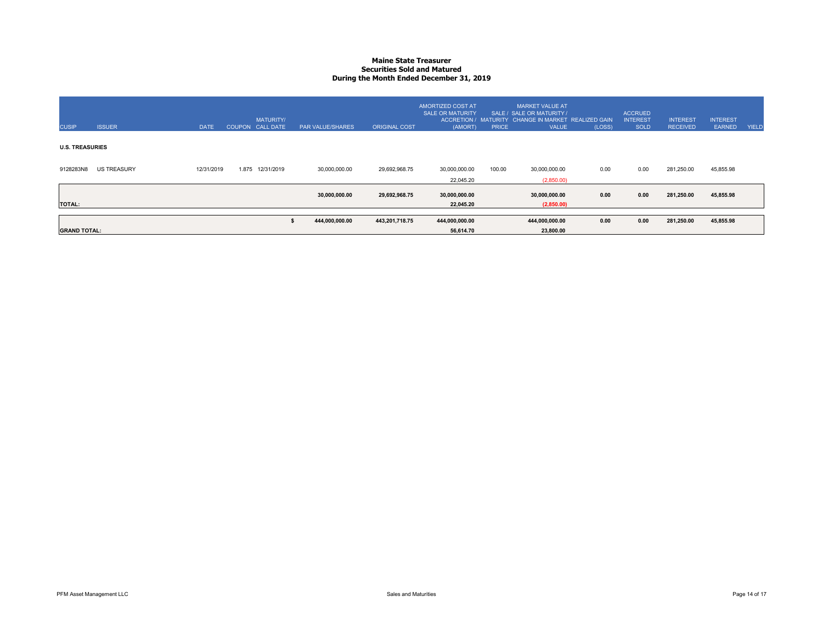# **Maine State Treasurer Securities Sold and MaturedDuring the Month Ended December 31, 2019**

| <b>CUSIP</b>           | <b>ISSUER</b>      | <b>DATE</b> | COUPON CALL DATE | <b>MATURITY/</b> | PAR VALUE/SHARES | <b>ORIGINAL COST</b> | AMORTIZED COST AT<br><b>SALE OR MATURITY</b><br>(AMORT) | <b>PRICE</b> | MARKET VALUE AT<br>SALE / SALE OR MATURITY /<br>ACCRETION / MATURITY CHANGE IN MARKET REALIZED GAIN<br><b>VALUE</b> | (LOSS) | <b>ACCRUED</b><br><b>INTEREST</b><br><b>SOLD</b> | <b>INTEREST</b><br><b>RECEIVED</b> | <b>INTEREST</b><br><b>EARNED</b> | YIELD |
|------------------------|--------------------|-------------|------------------|------------------|------------------|----------------------|---------------------------------------------------------|--------------|---------------------------------------------------------------------------------------------------------------------|--------|--------------------------------------------------|------------------------------------|----------------------------------|-------|
| <b>U.S. TREASURIES</b> |                    |             |                  |                  |                  |                      |                                                         |              |                                                                                                                     |        |                                                  |                                    |                                  |       |
| 9128283N8              | <b>US TREASURY</b> | 12/31/2019  | 1.875            | 12/31/2019       | 30,000,000.00    | 29,692,968.75        | 30,000,000.00<br>22,045.20                              | 100.00       | 30,000,000.00<br>(2,850.00)                                                                                         | 0.00   | 0.00                                             | 281,250.00                         | 45,855.98                        |       |
| <b>TOTAL:</b>          |                    |             |                  |                  | 30,000,000.00    | 29,692,968.75        | 30,000,000.00<br>22,045.20                              |              | 30,000,000.00<br>(2,850.00)                                                                                         | 0.00   | 0.00                                             | 281,250.00                         | 45,855.98                        |       |
| <b>GRAND TOTAL:</b>    |                    |             |                  |                  | 444,000,000.00   | 443,201,718.75       | 444,000,000.00<br>56,614.70                             |              | 444,000,000.00<br>23,800.00                                                                                         | 0.00   | 0.00                                             | 281,250.00                         | 45,855.98                        |       |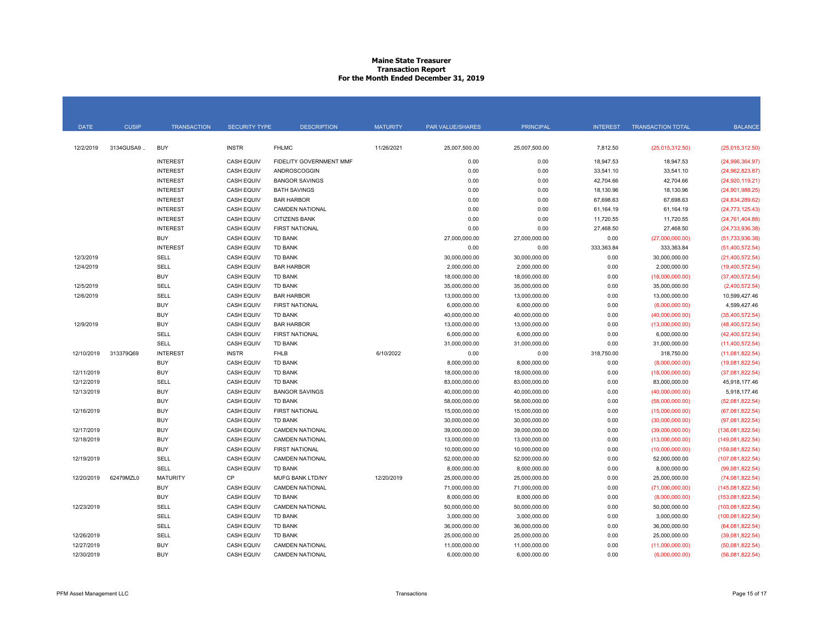# **Maine State Treasurer Transaction Report For the Month Ended December 31, 2019**

| <b>DATE</b> | <b>CUSIP</b> | <b>TRANSACTION</b> | <b>SECURITY TYPE</b> | <b>DESCRIPTION</b>      | <b>MATURITY</b> | <b>PAR VALUE/SHARES</b> | <b>PRINCIPAL</b> | <b>INTEREST</b> | <b>TRANSACTION TOTAL</b> | <b>BALANCE</b>    |
|-------------|--------------|--------------------|----------------------|-------------------------|-----------------|-------------------------|------------------|-----------------|--------------------------|-------------------|
|             |              |                    |                      |                         |                 |                         |                  |                 |                          |                   |
| 12/2/2019   | 3134GUSA9    | <b>BUY</b>         | <b>INSTR</b>         | <b>FHLMC</b>            | 11/26/2021      | 25,007,500.00           | 25,007,500.00    | 7,812.50        | (25,015,312.50)          | (25,015,312.50)   |
|             |              | <b>INTEREST</b>    | <b>CASH EQUIV</b>    | FIDELITY GOVERNMENT MMF |                 | 0.00                    | 0.00             | 18,947.53       | 18,947.53                | (24,996,364.97)   |
|             |              | <b>INTEREST</b>    | <b>CASH EQUIV</b>    | ANDROSCOGGIN            |                 | 0.00                    | 0.00             | 33,541.10       | 33,541.10                | (24,962,823.87)   |
|             |              | <b>INTEREST</b>    | <b>CASH EQUIV</b>    | <b>BANGOR SAVINGS</b>   |                 | 0.00                    | 0.00             | 42,704.66       | 42,704.66                | (24,920,119.21)   |
|             |              | <b>INTEREST</b>    | <b>CASH EQUIV</b>    | <b>BATH SAVINGS</b>     |                 | 0.00                    | 0.00             | 18,130.96       | 18,130.96                | (24,901,988.25)   |
|             |              | <b>INTEREST</b>    | <b>CASH EQUIV</b>    | <b>BAR HARBOR</b>       |                 | 0.00                    | 0.00             | 67,698.63       | 67,698.63                | (24,834,289.62)   |
|             |              | <b>INTEREST</b>    | <b>CASH EQUIV</b>    | <b>CAMDEN NATIONAL</b>  |                 | 0.00                    | 0.00             | 61,164.19       | 61,164.19                | (24, 773, 125.43) |
|             |              | <b>INTEREST</b>    | <b>CASH EQUIV</b>    | <b>CITIZENS BANK</b>    |                 | 0.00                    | 0.00             | 11,720.55       | 11,720.55                | (24, 761, 404.88) |
|             |              | <b>INTEREST</b>    | <b>CASH EQUIV</b>    | <b>FIRST NATIONAL</b>   |                 | 0.00                    | 0.00             | 27,468.50       | 27,468.50                | (24, 733, 936.38) |
|             |              | <b>BUY</b>         | <b>CASH EQUIV</b>    | <b>TD BANK</b>          |                 | 27,000,000.00           | 27,000,000.00    | 0.00            | (27,000,000.00)          | (51,733,936.38)   |
|             |              | <b>INTEREST</b>    | <b>CASH EQUIV</b>    | <b>TD BANK</b>          |                 | 0.00                    | 0.00             | 333,363.84      | 333,363.84               | (51, 400, 572.54) |
| 12/3/2019   |              | SELL               | <b>CASH EQUIV</b>    | <b>TD BANK</b>          |                 | 30,000,000.00           | 30,000,000.00    | 0.00            | 30,000,000.00            | (21,400,572.54)   |
| 12/4/2019   |              | SELL               | <b>CASH EQUIV</b>    | <b>BAR HARBOR</b>       |                 | 2,000,000.00            | 2,000,000.00     | 0.00            | 2,000,000.00             | (19,400,572.54)   |
|             |              | <b>BUY</b>         | <b>CASH EQUIV</b>    | <b>TD BANK</b>          |                 | 18,000,000.00           | 18,000,000.00    | 0.00            | (18,000,000.00)          | (37, 400, 572.54) |
| 12/5/2019   |              | SELL               | <b>CASH EQUIV</b>    | <b>TD BANK</b>          |                 | 35,000,000.00           | 35,000,000.00    | 0.00            | 35,000,000.00            | (2,400,572.54)    |
| 12/6/2019   |              | SELL               | <b>CASH EQUIV</b>    | <b>BAR HARBOR</b>       |                 | 13,000,000.00           | 13,000,000.00    | 0.00            | 13,000,000.00            | 10,599,427.46     |
|             |              | <b>BUY</b>         | <b>CASH EQUIV</b>    | <b>FIRST NATIONAL</b>   |                 | 6,000,000.00            | 6,000,000.00     | 0.00            | (6,000,000.00)           | 4,599,427.46      |
|             |              | <b>BUY</b>         | <b>CASH EQUIV</b>    | <b>TD BANK</b>          |                 | 40,000,000.00           | 40,000,000.00    | 0.00            | (40,000,000.00)          | (35,400,572.54)   |
| 12/9/2019   |              | <b>BUY</b>         | <b>CASH EQUIV</b>    | <b>BAR HARBOR</b>       |                 | 13,000,000.00           | 13,000,000.00    | 0.00            | (13,000,000.00)          | (48, 400, 572.54) |
|             |              | <b>SELL</b>        | <b>CASH EQUIV</b>    | <b>FIRST NATIONAL</b>   |                 | 6,000,000.00            | 6,000,000.00     | 0.00            | 6,000,000.00             | (42, 400, 572.54) |
|             |              | <b>SELL</b>        | <b>CASH EQUIV</b>    | <b>TD BANK</b>          |                 | 31,000,000.00           | 31,000,000.00    | 0.00            | 31,000,000.00            | (11,400,572.54)   |
| 12/10/2019  | 313379Q69    | <b>INTEREST</b>    | <b>INSTR</b>         | <b>FHLB</b>             | 6/10/2022       | 0.00                    | 0.00             | 318,750.00      | 318,750.00               | (11,081,822.54)   |
|             |              | <b>BUY</b>         | <b>CASH EQUIV</b>    | <b>TD BANK</b>          |                 | 8,000,000.00            | 8,000,000.00     | 0.00            | (8,000,000.00)           | (19,081,822.54)   |
| 12/11/2019  |              | <b>BUY</b>         | <b>CASH EQUIV</b>    | <b>TD BANK</b>          |                 | 18,000,000.00           | 18,000,000.00    | 0.00            | (18,000,000.00)          | (37,081,822.54)   |
| 12/12/2019  |              | SELL               | <b>CASH EQUIV</b>    | <b>TD BANK</b>          |                 | 83,000,000.00           | 83,000,000.00    | 0.00            | 83,000,000.00            | 45,918,177.46     |
| 12/13/2019  |              | <b>BUY</b>         | <b>CASH EQUIV</b>    | <b>BANGOR SAVINGS</b>   |                 | 40,000,000.00           | 40,000,000.00    | 0.00            | (40,000,000.00)          | 5,918,177.46      |
|             |              | <b>BUY</b>         | <b>CASH EQUIV</b>    | <b>TD BANK</b>          |                 | 58,000,000.00           | 58,000,000.00    | 0.00            | (58,000,000.00)          | (52,081,822.54)   |
| 12/16/2019  |              | <b>BUY</b>         | <b>CASH EQUIV</b>    | <b>FIRST NATIONAL</b>   |                 | 15,000,000.00           | 15,000,000.00    | 0.00            | (15,000,000.00)          | (67,081,822.54)   |
|             |              | <b>BUY</b>         | <b>CASH EQUIV</b>    | TD BANK                 |                 | 30,000,000.00           | 30,000,000.00    | 0.00            | (30,000,000.00)          | (97,081,822.54)   |
| 12/17/2019  |              | <b>BUY</b>         | <b>CASH EQUIV</b>    | <b>CAMDEN NATIONAL</b>  |                 | 39,000,000.00           | 39,000,000.00    | 0.00            | (39,000,000.00)          | (136,081,822.54)  |
| 12/18/2019  |              | <b>BUY</b>         | <b>CASH EQUIV</b>    | <b>CAMDEN NATIONAL</b>  |                 | 13,000,000.00           | 13,000,000.00    | 0.00            | (13,000,000.00)          | (149,081,822.54)  |
|             |              | <b>BUY</b>         | <b>CASH EQUIV</b>    | <b>FIRST NATIONAL</b>   |                 | 10,000,000.00           | 10,000,000.00    | 0.00            | (10,000,000.00)          | (159,081,822.54)  |
| 12/19/2019  |              | SELL               | <b>CASH EQUIV</b>    | <b>CAMDEN NATIONAL</b>  |                 | 52,000,000.00           | 52,000,000.00    | 0.00            | 52,000,000.00            | (107,081,822.54)  |
|             |              | <b>SELL</b>        | <b>CASH EQUIV</b>    | TD BANK                 |                 | 8,000,000.00            | 8,000,000.00     | 0.00            | 8,000,000.00             | (99,081,822.54)   |
| 12/20/2019  | 62479MZL0    | <b>MATURITY</b>    | CP                   | MUFG BANK LTD/NY        | 12/20/2019      | 25,000,000.00           | 25,000,000.00    | 0.00            | 25,000,000.00            | (74,081,822.54)   |
|             |              | <b>BUY</b>         | <b>CASH EQUIV</b>    | CAMDEN NATIONAL         |                 | 71,000,000.00           | 71,000,000.00    | 0.00            | (71,000,000.00)          | (145,081,822.54)  |
|             |              | <b>BUY</b>         | <b>CASH EQUIV</b>    | <b>TD BANK</b>          |                 | 8,000,000.00            | 8,000,000.00     | 0.00            | (8,000,000.00)           | (153,081,822.54)  |
| 12/23/2019  |              | <b>SELL</b>        | <b>CASH EQUIV</b>    | <b>CAMDEN NATIONAL</b>  |                 | 50,000,000.00           | 50,000,000.00    | 0.00            | 50,000,000.00            | (103,081,822.54)  |
|             |              | SELL               | <b>CASH EQUIV</b>    | <b>TD BANK</b>          |                 | 3,000,000.00            | 3,000,000.00     | 0.00            | 3,000,000.00             | (100,081,822.54)  |
|             |              | SELL               | <b>CASH EQUIV</b>    | <b>TD BANK</b>          |                 | 36,000,000.00           | 36,000,000.00    | 0.00            | 36,000,000.00            | (64,081,822.54)   |
| 12/26/2019  |              | SELL               | <b>CASH EQUIV</b>    | <b>TD BANK</b>          |                 | 25,000,000.00           | 25,000,000.00    | 0.00            | 25,000,000.00            | (39,081,822.54)   |
| 12/27/2019  |              | <b>BUY</b>         | <b>CASH EQUIV</b>    | <b>CAMDEN NATIONAL</b>  |                 | 11,000,000.00           | 11,000,000.00    | 0.00            | (11,000,000.00)          | (50.081.822.54)   |
| 12/30/2019  |              | <b>BUY</b>         | <b>CASH EQUIV</b>    | <b>CAMDEN NATIONAL</b>  |                 | 6,000,000.00            | 6,000,000.00     | 0.00            | (6,000,000.00)           | (56,081,822.54)   |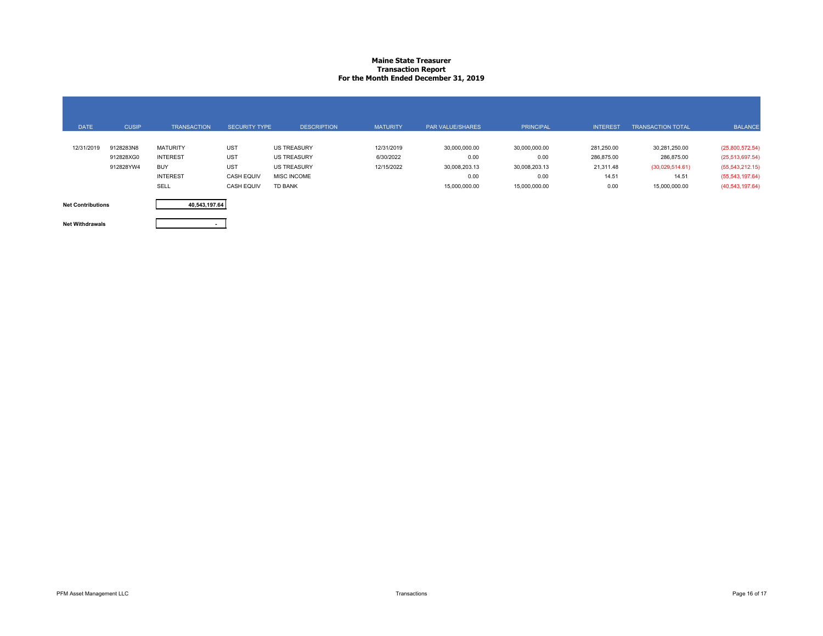# **Maine State Treasurer Transaction Report For the Month Ended December 31, 2019**

| <b>DATE</b>              | <b>CUSIP</b> | <b>TRANSACTION</b> | <b>SECURITY TYPE</b> | <b>DESCRIPTION</b> | <b>MATURITY</b> | <b>PAR VALUE/SHARES</b> | <b>PRINCIPAL</b> | <b>INTEREST</b> | <b>TRANSACTION TOTAL</b> | <b>BALANCE</b>    |
|--------------------------|--------------|--------------------|----------------------|--------------------|-----------------|-------------------------|------------------|-----------------|--------------------------|-------------------|
|                          |              |                    |                      |                    |                 |                         |                  |                 |                          |                   |
| 12/31/2019               | 9128283N8    | <b>MATURITY</b>    | <b>UST</b>           | <b>US TREASURY</b> | 12/31/2019      | 30,000,000.00           | 30,000,000.00    | 281,250.00      | 30,281,250.00            | (25,800,572.54)   |
|                          | 912828XG0    | <b>INTEREST</b>    | <b>UST</b>           | <b>US TREASURY</b> | 6/30/2022       | 0.00                    | 0.00             | 286,875.00      | 286,875.00               | (25,513,697.54)   |
|                          | 912828YW4    | <b>BUY</b>         | <b>UST</b>           | <b>US TREASURY</b> | 12/15/2022      | 30,008,203.13           | 30,008,203.13    | 21,311.48       | (30,029,514.61)          | (55, 543, 212.15) |
|                          |              | <b>INTEREST</b>    | <b>CASH EQUIV</b>    | <b>MISC INCOME</b> |                 | 0.00                    | 0.00             | 14.51           | 14.51                    | (55,543,197.64)   |
|                          |              | SELL               | <b>CASH EQUIV</b>    | TD BANK            |                 | 15,000,000.00           | 15,000,000.00    | 0.00            | 15,000,000.00            | (40, 543, 197.64) |
|                          |              |                    |                      |                    |                 |                         |                  |                 |                          |                   |
| <b>Net Contributions</b> |              | 40,543,197.64      |                      |                    |                 |                         |                  |                 |                          |                   |

**Net Withdrawals**

**-**

PFM Asset Management LLC **Example 2006** Transactions **Page 16 of 17** Transactions **Page 16 of 17**